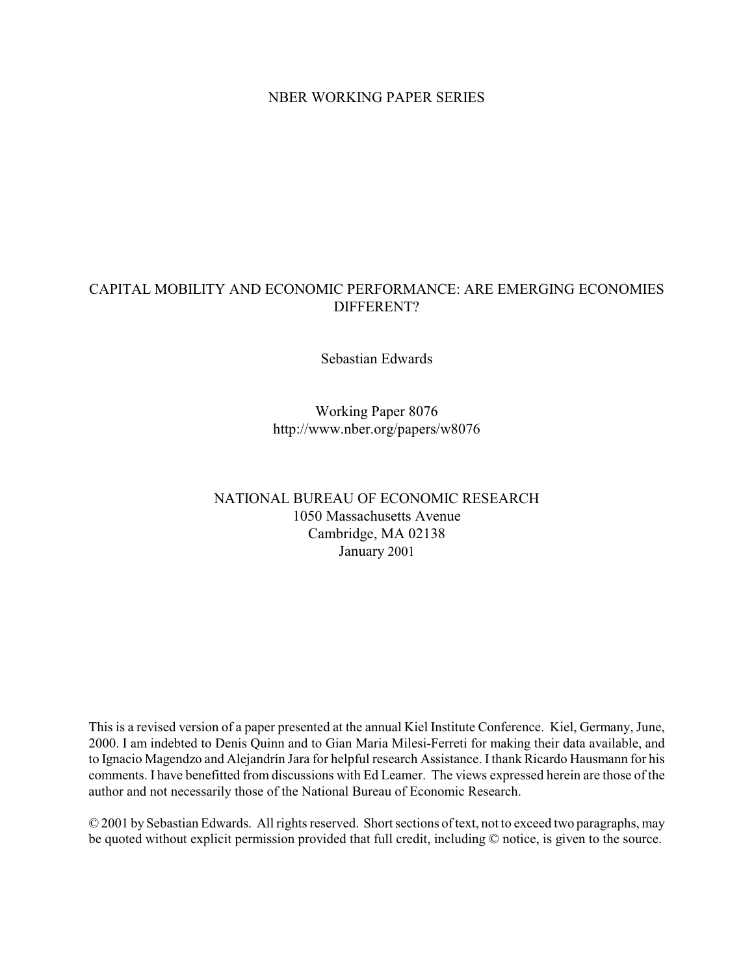### NBER WORKING PAPER SERIES

### CAPITAL MOBILITY AND ECONOMIC PERFORMANCE: ARE EMERGING ECONOMIES DIFFERENT?

Sebastian Edwards

Working Paper 8076 http://www.nber.org/papers/w8076

### NATIONAL BUREAU OF ECONOMIC RESEARCH 1050 Massachusetts Avenue Cambridge, MA 02138 January 2001

This is a revised version of a paper presented at the annual Kiel Institute Conference. Kiel, Germany, June, 2000. I am indebted to Denis Quinn and to Gian Maria Milesi-Ferreti for making their data available, and to Ignacio Magendzo and Alejandrín Jara for helpful research Assistance. I thank Ricardo Hausmann for his comments. I have benefitted from discussions with Ed Leamer. The views expressed herein are those of the author and not necessarily those of the National Bureau of Economic Research.

© 2001 by Sebastian Edwards. All rights reserved. Short sections of text, not to exceed two paragraphs, may be quoted without explicit permission provided that full credit, including © notice, is given to the source.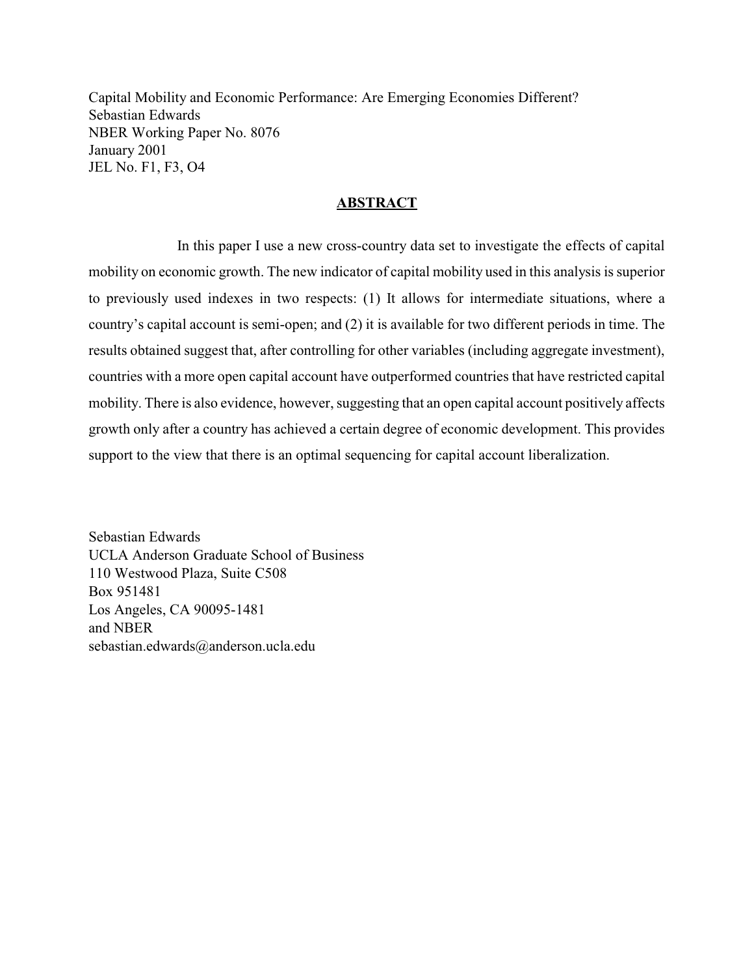Capital Mobility and Economic Performance: Are Emerging Economies Different? Sebastian Edwards NBER Working Paper No. 8076 January 2001 JEL No. F1, F3, O4

### **ABSTRACT**

In this paper I use a new cross-country data set to investigate the effects of capital mobility on economic growth. The new indicator of capital mobility used in this analysis is superior to previously used indexes in two respects:  $(1)$  It allows for intermediate situations, where a country's capital account is semi-open; and (2) it is available for two different periods in time. The results obtained suggest that, after controlling for other variables (including aggregate investment), countries with a more open capital account have outperformed countries that have restricted capital mobility. There is also evidence, however, suggesting that an open capital account positively affects growth only after a country has achieved a certain degree of economic development. This provides support to the view that there is an optimal sequencing for capital account liberalization.

Sebastian Edwards UCLA Anderson Graduate School of Business 110 Westwood Plaza, Suite C508 Box 951481 Los Angeles, CA 90095-1481 and NBER  $sebastian.eduwards@anderson.ucla.edu$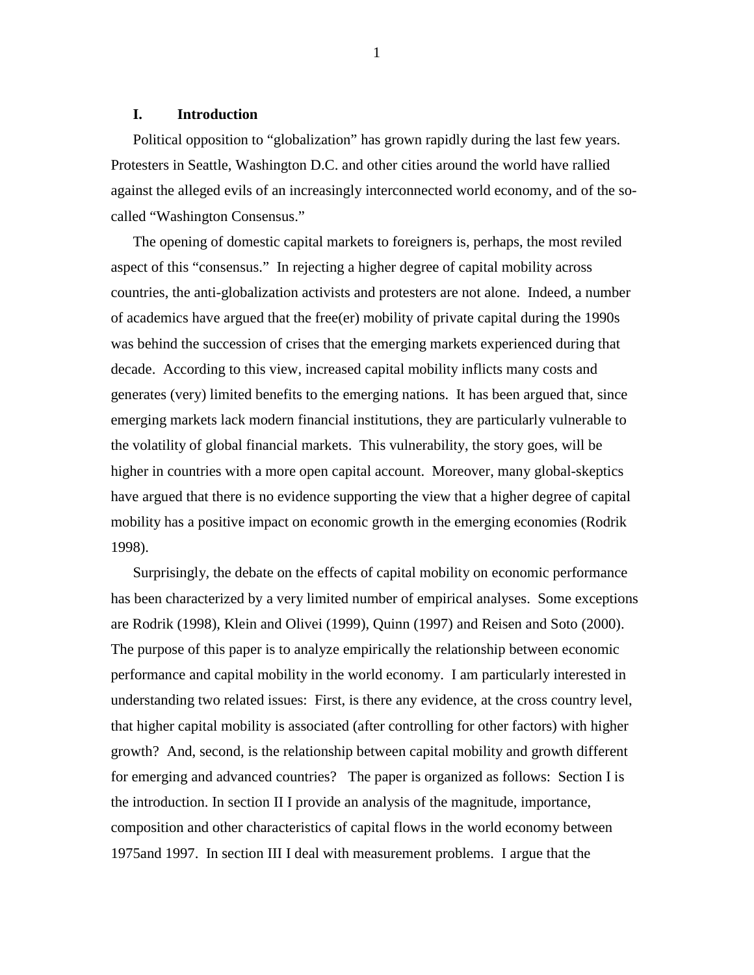#### **I. Introduction**

Political opposition to "globalization" has grown rapidly during the last few years. Protesters in Seattle, Washington D.C. and other cities around the world have rallied against the alleged evils of an increasingly interconnected world economy, and of the socalled "Washington Consensus."

The opening of domestic capital markets to foreigners is, perhaps, the most reviled aspect of this "consensus." In rejecting a higher degree of capital mobility across countries, the anti-globalization activists and protesters are not alone. Indeed, a number of academics have argued that the free(er) mobility of private capital during the 1990s was behind the succession of crises that the emerging markets experienced during that decade. According to this view, increased capital mobility inflicts many costs and generates (very) limited benefits to the emerging nations. It has been argued that, since emerging markets lack modern financial institutions, they are particularly vulnerable to the volatility of global financial markets. This vulnerability, the story goes, will be higher in countries with a more open capital account. Moreover, many global-skeptics have argued that there is no evidence supporting the view that a higher degree of capital mobility has a positive impact on economic growth in the emerging economies (Rodrik 1998).

Surprisingly, the debate on the effects of capital mobility on economic performance has been characterized by a very limited number of empirical analyses. Some exceptions are Rodrik (1998), Klein and Olivei (1999), Quinn (1997) and Reisen and Soto (2000). The purpose of this paper is to analyze empirically the relationship between economic performance and capital mobility in the world economy. I am particularly interested in understanding two related issues: First, is there any evidence, at the cross country level, that higher capital mobility is associated (after controlling for other factors) with higher growth? And, second, is the relationship between capital mobility and growth different for emerging and advanced countries? The paper is organized as follows: Section I is the introduction. In section II I provide an analysis of the magnitude, importance, composition and other characteristics of capital flows in the world economy between 1975and 1997. In section III I deal with measurement problems. I argue that the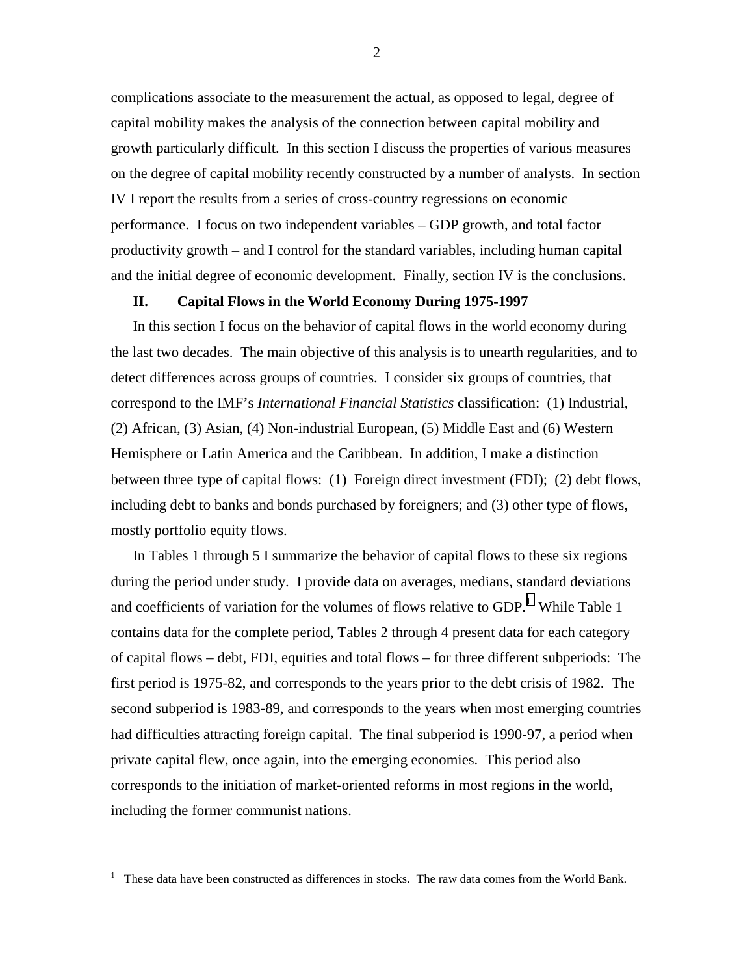complications associate to the measurement the actual, as opposed to legal, degree of capital mobility makes the analysis of the connection between capital mobility and growth particularly difficult. In this section I discuss the properties of various measures on the degree of capital mobility recently constructed by a number of analysts. In section IV I report the results from a series of cross-country regressions on economic performance. I focus on two independent variables – GDP growth, and total factor productivity growth – and I control for the standard variables, including human capital and the initial degree of economic development. Finally, section IV is the conclusions.

#### **II. Capital Flows in the World Economy During 1975-1997**

In this section I focus on the behavior of capital flows in the world economy during the last two decades. The main objective of this analysis is to unearth regularities, and to detect differences across groups of countries. I consider six groups of countries, that correspond to the IMF's *International Financial Statistics* classification: (1) Industrial, (2) African, (3) Asian, (4) Non-industrial European, (5) Middle East and (6) Western Hemisphere or Latin America and the Caribbean. In addition, I make a distinction between three type of capital flows: (1) Foreign direct investment (FDI); (2) debt flows, including debt to banks and bonds purchased by foreigners; and (3) other type of flows, mostly portfolio equity flows.

In Tables 1 through 5 I summarize the behavior of capital flows to these six regions during the period under study. I provide data on averages, medians, standard deviations and coefficients of variation for the volumes of flows relative to  $GDP<sup>1</sup>$  While Table 1 contains data for the complete period, Tables 2 through 4 present data for each category of capital flows – debt, FDI, equities and total flows – for three different subperiods: The first period is 1975-82, and corresponds to the years prior to the debt crisis of 1982. The second subperiod is 1983-89, and corresponds to the years when most emerging countries had difficulties attracting foreign capital. The final subperiod is 1990-97, a period when private capital flew, once again, into the emerging economies. This period also corresponds to the initiation of market-oriented reforms in most regions in the world, including the former communist nations.

 $\overline{a}$ 

<sup>1</sup> These data have been constructed as differences in stocks. The raw data comes from the World Bank.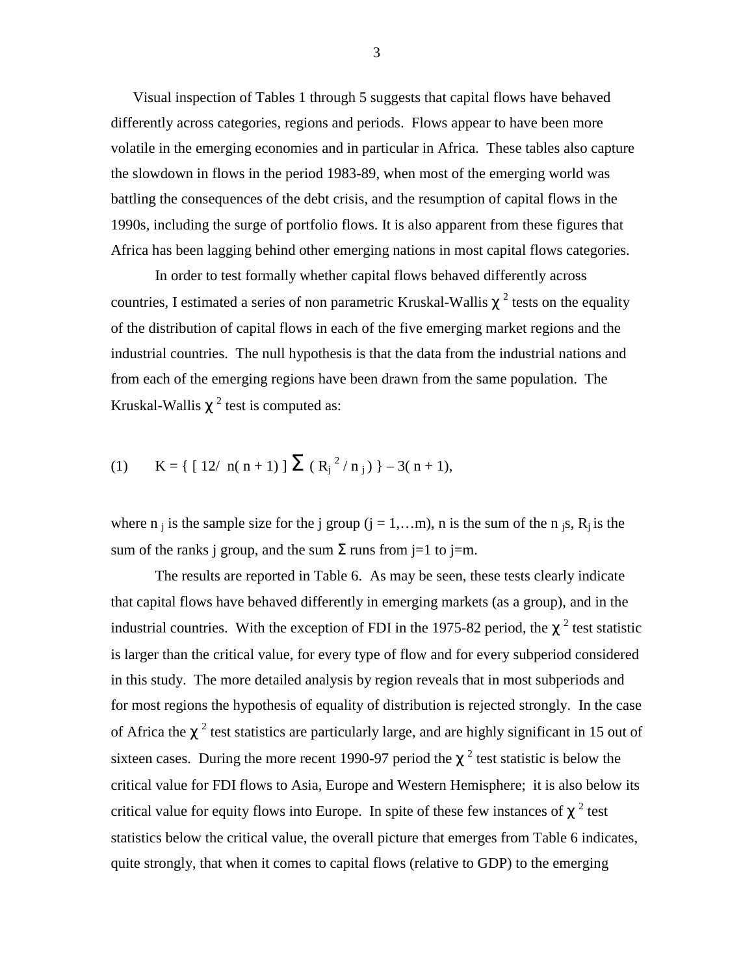Visual inspection of Tables 1 through 5 suggests that capital flows have behaved differently across categories, regions and periods. Flows appear to have been more volatile in the emerging economies and in particular in Africa. These tables also capture the slowdown in flows in the period 1983-89, when most of the emerging world was battling the consequences of the debt crisis, and the resumption of capital flows in the 1990s, including the surge of portfolio flows. It is also apparent from these figures that Africa has been lagging behind other emerging nations in most capital flows categories.

In order to test formally whether capital flows behaved differently across countries, I estimated a series of non parametric Kruskal-Wallis  $\chi^2$  tests on the equality of the distribution of capital flows in each of the five emerging market regions and the industrial countries. The null hypothesis is that the data from the industrial nations and from each of the emerging regions have been drawn from the same population. The Kruskal-Wallis  $\chi^2$  test is computed as:

(1) 
$$
K = \{ [12/\ n(n+1)] \sum (R_j^2/n_j) \} - 3(n+1),
$$

where n is the sample size for the j group  $(j = 1,...m)$ , n is the sum of the n is, R<sub>i</sub> is the sum of the ranks j group, and the sum  $\Sigma$  runs from j=1 to j=m.

The results are reported in Table 6. As may be seen, these tests clearly indicate that capital flows have behaved differently in emerging markets (as a group), and in the industrial countries. With the exception of FDI in the 1975-82 period, the  $\chi^2$  test statistic is larger than the critical value, for every type of flow and for every subperiod considered in this study. The more detailed analysis by region reveals that in most subperiods and for most regions the hypothesis of equality of distribution is rejected strongly. In the case of Africa the  $\chi^2$  test statistics are particularly large, and are highly significant in 15 out of sixteen cases. During the more recent 1990-97 period the  $\chi^2$  test statistic is below the critical value for FDI flows to Asia, Europe and Western Hemisphere; it is also below its critical value for equity flows into Europe. In spite of these few instances of  $\chi^2$  test statistics below the critical value, the overall picture that emerges from Table 6 indicates, quite strongly, that when it comes to capital flows (relative to GDP) to the emerging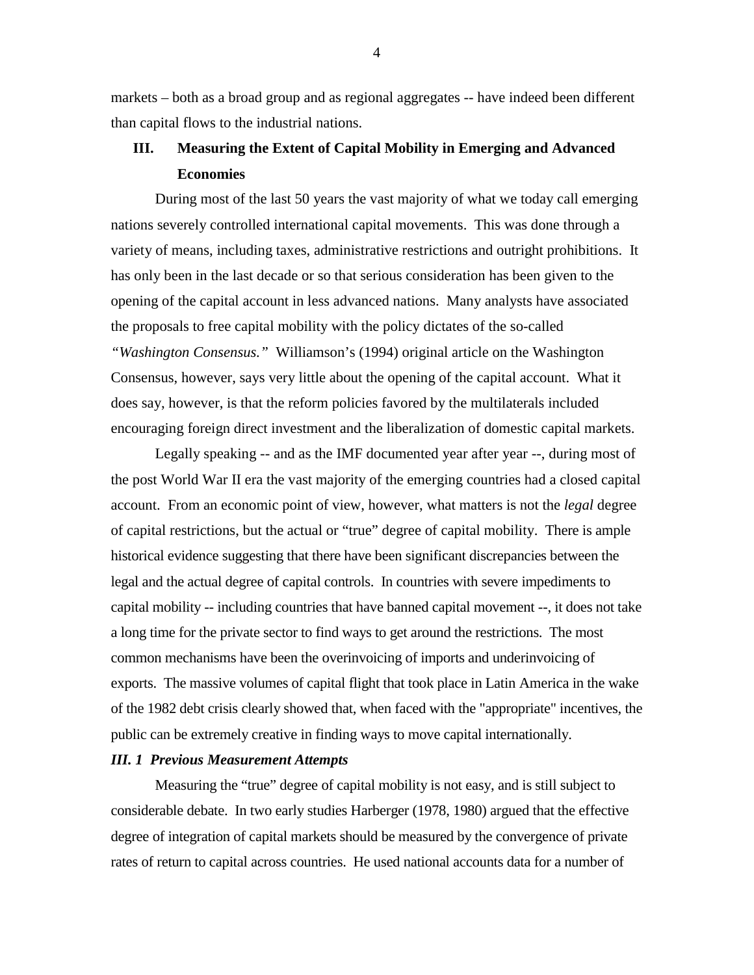markets – both as a broad group and as regional aggregates -- have indeed been different than capital flows to the industrial nations.

# **III. Measuring the Extent of Capital Mobility in Emerging and Advanced Economies**

During most of the last 50 years the vast majority of what we today call emerging nations severely controlled international capital movements. This was done through a variety of means, including taxes, administrative restrictions and outright prohibitions. It has only been in the last decade or so that serious consideration has been given to the opening of the capital account in less advanced nations. Many analysts have associated the proposals to free capital mobility with the policy dictates of the so-called *"Washington Consensus."* Williamson's (1994) original article on the Washington Consensus, however, says very little about the opening of the capital account. What it does say, however, is that the reform policies favored by the multilaterals included encouraging foreign direct investment and the liberalization of domestic capital markets.

Legally speaking -- and as the IMF documented year after year --, during most of the post World War II era the vast majority of the emerging countries had a closed capital account. From an economic point of view, however, what matters is not the *legal* degree of capital restrictions, but the actual or "true" degree of capital mobility. There is ample historical evidence suggesting that there have been significant discrepancies between the legal and the actual degree of capital controls. In countries with severe impediments to capital mobility -- including countries that have banned capital movement --, it does not take a long time for the private sector to find ways to get around the restrictions. The most common mechanisms have been the overinvoicing of imports and underinvoicing of exports. The massive volumes of capital flight that took place in Latin America in the wake of the 1982 debt crisis clearly showed that, when faced with the "appropriate" incentives, the public can be extremely creative in finding ways to move capital internationally.

#### *III. 1 Previous Measurement Attempts*

Measuring the "true" degree of capital mobility is not easy, and is still subject to considerable debate. In two early studies Harberger (1978, 1980) argued that the effective degree of integration of capital markets should be measured by the convergence of private rates of return to capital across countries. He used national accounts data for a number of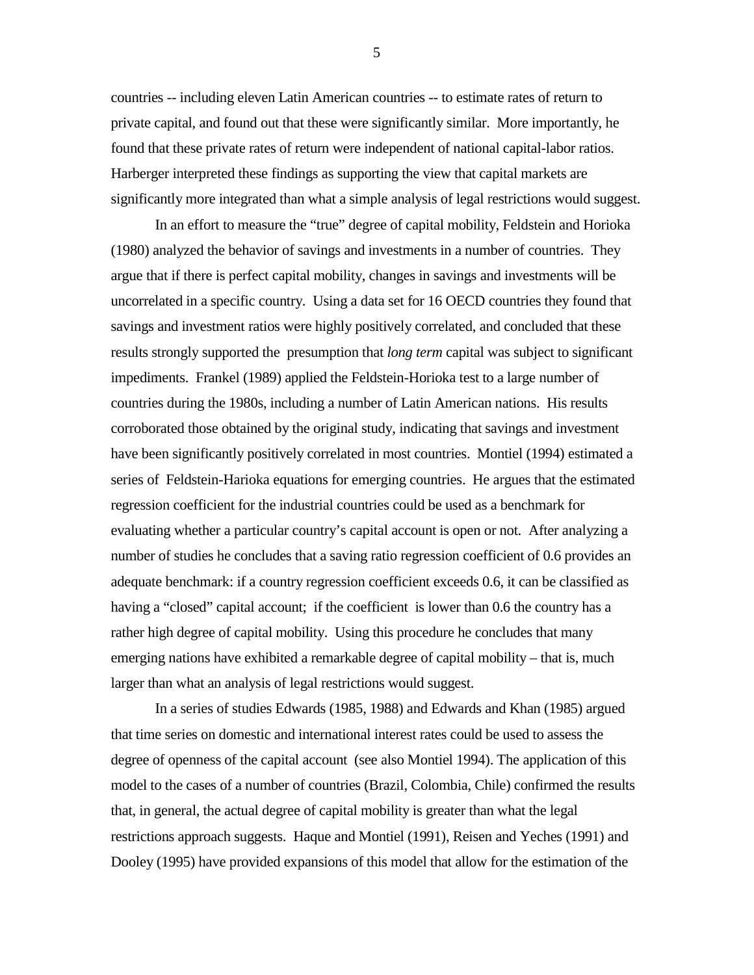countries -- including eleven Latin American countries -- to estimate rates of return to private capital, and found out that these were significantly similar. More importantly, he found that these private rates of return were independent of national capital-labor ratios. Harberger interpreted these findings as supporting the view that capital markets are significantly more integrated than what a simple analysis of legal restrictions would suggest.

In an effort to measure the "true" degree of capital mobility, Feldstein and Horioka (1980) analyzed the behavior of savings and investments in a number of countries. They argue that if there is perfect capital mobility, changes in savings and investments will be uncorrelated in a specific country. Using a data set for 16 OECD countries they found that savings and investment ratios were highly positively correlated, and concluded that these results strongly supported the presumption that *long term* capital was subject to significant impediments. Frankel (1989) applied the Feldstein-Horioka test to a large number of countries during the 1980s, including a number of Latin American nations. His results corroborated those obtained by the original study, indicating that savings and investment have been significantly positively correlated in most countries. Montiel (1994) estimated a series of Feldstein-Harioka equations for emerging countries. He argues that the estimated regression coefficient for the industrial countries could be used as a benchmark for evaluating whether a particular country's capital account is open or not. After analyzing a number of studies he concludes that a saving ratio regression coefficient of 0.6 provides an adequate benchmark: if a country regression coefficient exceeds 0.6, it can be classified as having a "closed" capital account; if the coefficient is lower than 0.6 the country has a rather high degree of capital mobility. Using this procedure he concludes that many emerging nations have exhibited a remarkable degree of capital mobility – that is, much larger than what an analysis of legal restrictions would suggest.

In a series of studies Edwards (1985, 1988) and Edwards and Khan (1985) argued that time series on domestic and international interest rates could be used to assess the degree of openness of the capital account (see also Montiel 1994). The application of this model to the cases of a number of countries (Brazil, Colombia, Chile) confirmed the results that, in general, the actual degree of capital mobility is greater than what the legal restrictions approach suggests. Haque and Montiel (1991), Reisen and Yeches (1991) and Dooley (1995) have provided expansions of this model that allow for the estimation of the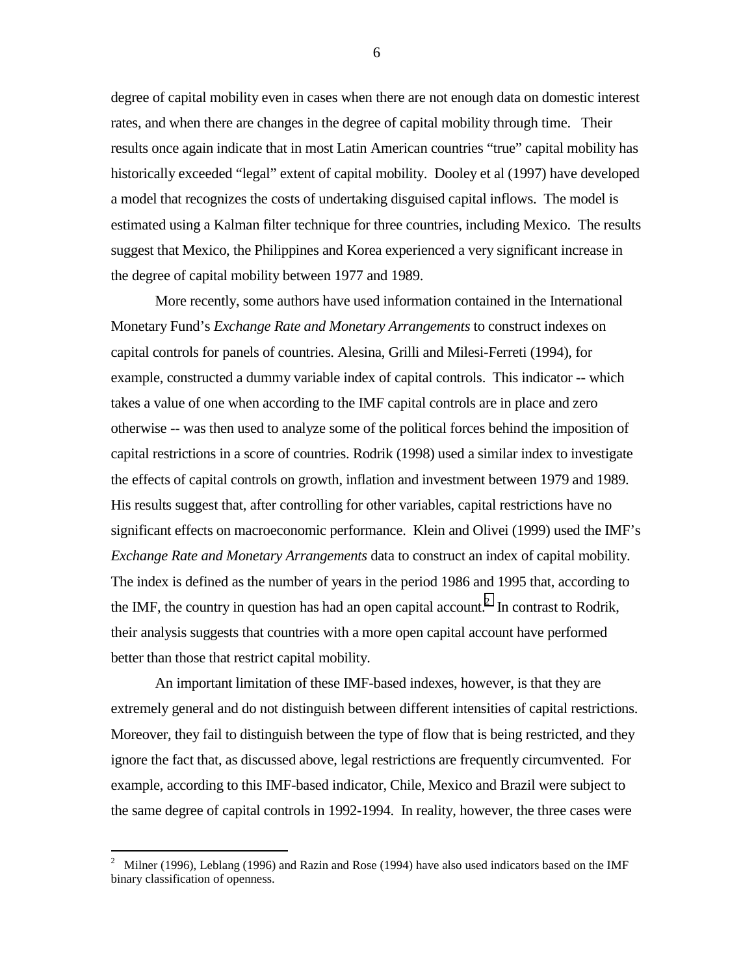degree of capital mobility even in cases when there are not enough data on domestic interest rates, and when there are changes in the degree of capital mobility through time. Their results once again indicate that in most Latin American countries "true" capital mobility has historically exceeded "legal" extent of capital mobility. Dooley et al (1997) have developed a model that recognizes the costs of undertaking disguised capital inflows. The model is estimated using a Kalman filter technique for three countries, including Mexico. The results suggest that Mexico, the Philippines and Korea experienced a very significant increase in the degree of capital mobility between 1977 and 1989.

More recently, some authors have used information contained in the International Monetary Fund's *Exchange Rate and Monetary Arrangements* to construct indexes on capital controls for panels of countries. Alesina, Grilli and Milesi-Ferreti (1994), for example, constructed a dummy variable index of capital controls. This indicator -- which takes a value of one when according to the IMF capital controls are in place and zero otherwise -- was then used to analyze some of the political forces behind the imposition of capital restrictions in a score of countries. Rodrik (1998) used a similar index to investigate the effects of capital controls on growth, inflation and investment between 1979 and 1989. His results suggest that, after controlling for other variables, capital restrictions have no significant effects on macroeconomic performance. Klein and Olivei (1999) used the IMF's *Exchange Rate and Monetary Arrangements* data to construct an index of capital mobility. The index is defined as the number of years in the period 1986 and 1995 that, according to the IMF, the country in question has had an open capital account.<sup>2</sup> In contrast to Rodrik, their analysis suggests that countries with a more open capital account have performed better than those that restrict capital mobility.

An important limitation of these IMF-based indexes, however, is that they are extremely general and do not distinguish between different intensities of capital restrictions. Moreover, they fail to distinguish between the type of flow that is being restricted, and they ignore the fact that, as discussed above, legal restrictions are frequently circumvented. For example, according to this IMF-based indicator, Chile, Mexico and Brazil were subject to the same degree of capital controls in 1992-1994. In reality, however, the three cases were

 $\frac{1}{2}$  Milner (1996), Leblang (1996) and Razin and Rose (1994) have also used indicators based on the IMF binary classification of openness.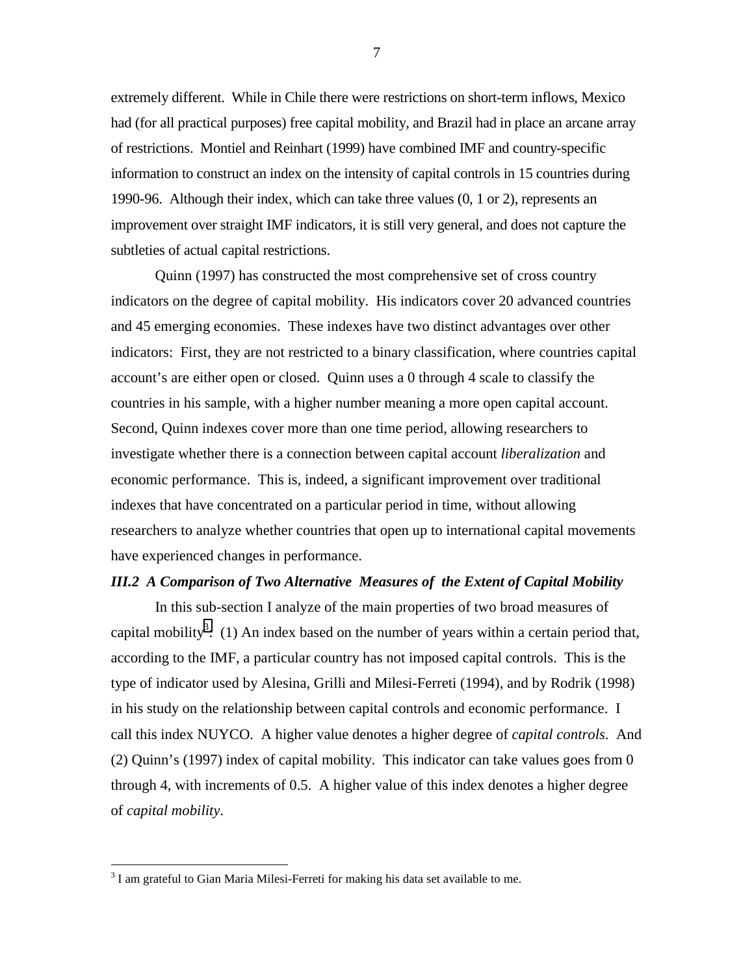extremely different. While in Chile there were restrictions on short-term inflows, Mexico had (for all practical purposes) free capital mobility, and Brazil had in place an arcane array of restrictions. Montiel and Reinhart (1999) have combined IMF and country-specific information to construct an index on the intensity of capital controls in 15 countries during 1990-96. Although their index, which can take three values (0, 1 or 2), represents an improvement over straight IMF indicators, it is still very general, and does not capture the subtleties of actual capital restrictions.

Quinn (1997) has constructed the most comprehensive set of cross country indicators on the degree of capital mobility. His indicators cover 20 advanced countries and 45 emerging economies. These indexes have two distinct advantages over other indicators: First, they are not restricted to a binary classification, where countries capital account's are either open or closed. Quinn uses a 0 through 4 scale to classify the countries in his sample, with a higher number meaning a more open capital account. Second, Quinn indexes cover more than one time period, allowing researchers to investigate whether there is a connection between capital account *liberalization* and economic performance. This is, indeed, a significant improvement over traditional indexes that have concentrated on a particular period in time, without allowing researchers to analyze whether countries that open up to international capital movements have experienced changes in performance.

#### *III.2 A Comparison of Two Alternative Measures of the Extent of Capital Mobility*

In this sub-section I analyze of the main properties of two broad measures of capital mobility<sup>3</sup>: (1) An index based on the number of years within a certain period that, according to the IMF, a particular country has not imposed capital controls. This is the type of indicator used by Alesina, Grilli and Milesi-Ferreti (1994), and by Rodrik (1998) in his study on the relationship between capital controls and economic performance. I call this index NUYCO. A higher value denotes a higher degree of *capital controls*. And (2) Quinn's (1997) index of capital mobility. This indicator can take values goes from 0 through 4, with increments of 0.5. A higher value of this index denotes a higher degree of *capital mobility*.

 $\overline{a}$ 

 $3$  I am grateful to Gian Maria Milesi-Ferreti for making his data set available to me.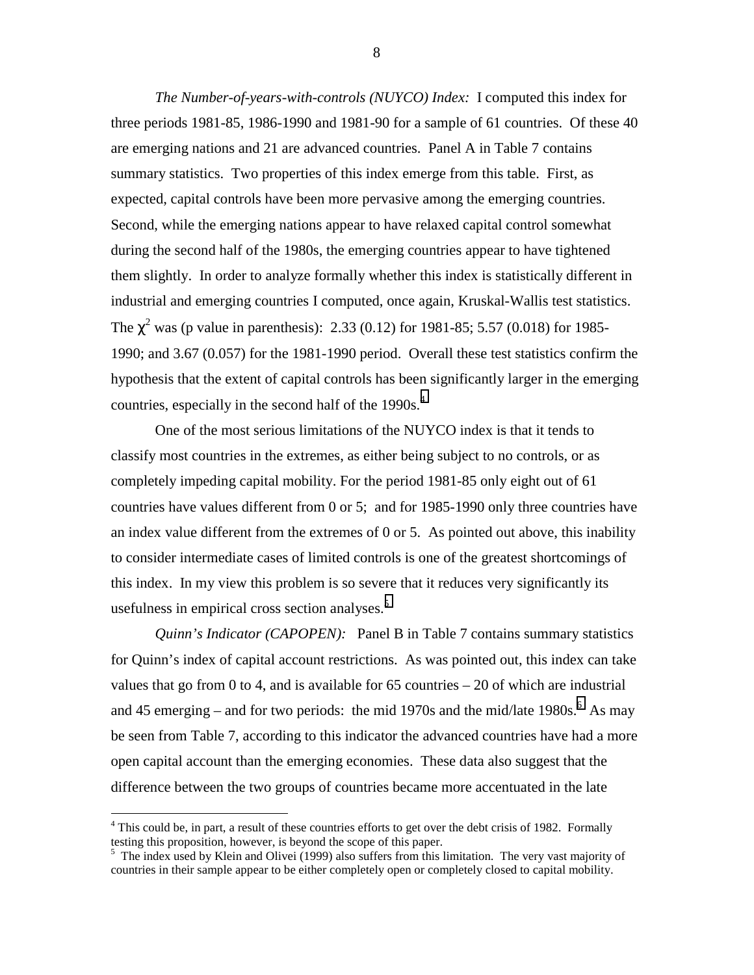*The Number-of-years-with-controls (NUYCO) Index:* I computed this index for three periods 1981-85, 1986-1990 and 1981-90 for a sample of 61 countries. Of these 40 are emerging nations and 21 are advanced countries. Panel A in Table 7 contains summary statistics. Two properties of this index emerge from this table. First, as expected, capital controls have been more pervasive among the emerging countries. Second, while the emerging nations appear to have relaxed capital control somewhat during the second half of the 1980s, the emerging countries appear to have tightened them slightly. In order to analyze formally whether this index is statistically different in industrial and emerging countries I computed, once again, Kruskal-Wallis test statistics. The  $\chi^2$  was (p value in parenthesis): 2.33 (0.12) for 1981-85; 5.57 (0.018) for 1985-1990; and 3.67 (0.057) for the 1981-1990 period. Overall these test statistics confirm the hypothesis that the extent of capital controls has been significantly larger in the emerging countries, especially in the second half of the 1990s.<sup>4</sup>

One of the most serious limitations of the NUYCO index is that it tends to classify most countries in the extremes, as either being subject to no controls, or as completely impeding capital mobility. For the period 1981-85 only eight out of 61 countries have values different from 0 or 5; and for 1985-1990 only three countries have an index value different from the extremes of 0 or 5. As pointed out above, this inability to consider intermediate cases of limited controls is one of the greatest shortcomings of this index. In my view this problem is so severe that it reduces very significantly its usefulness in empirical cross section analyses.<sup>5</sup>

*Quinn's Indicator (CAPOPEN):* Panel B in Table 7 contains summary statistics for Quinn's index of capital account restrictions. As was pointed out, this index can take values that go from 0 to 4, and is available for 65 countries  $-20$  of which are industrial and 45 emerging – and for two periods: the mid 1970s and the mid/late 1980s.  $6$  As may be seen from Table 7, according to this indicator the advanced countries have had a more open capital account than the emerging economies. These data also suggest that the difference between the two groups of countries became more accentuated in the late

 $\overline{a}$ 

<sup>&</sup>lt;sup>4</sup> This could be, in part, a result of these countries efforts to get over the debt crisis of 1982. Formally testing this proposition, however, is beyond the scope of this paper.

<sup>&</sup>lt;sup>5</sup> The index used by Klein and Olivei (1999) also suffers from this limitation. The very vast majority of countries in their sample appear to be either completely open or completely closed to capital mobility.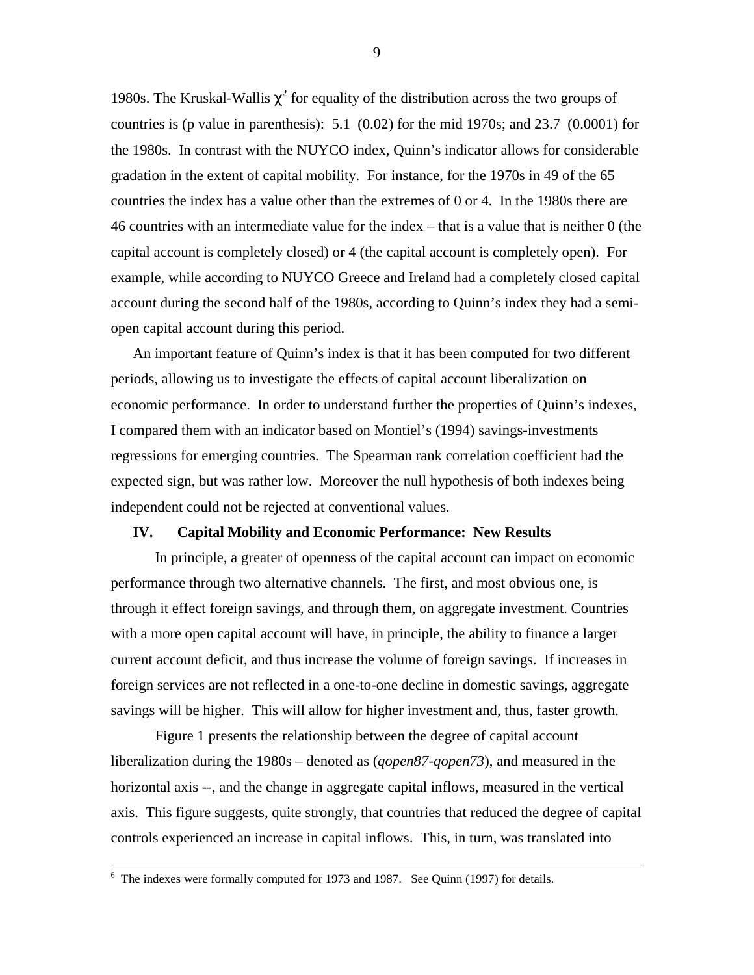1980s. The Kruskal-Wallis  $\chi^2$  for equality of the distribution across the two groups of countries is (p value in parenthesis): 5.1 (0.02) for the mid 1970s; and 23.7 (0.0001) for the 1980s. In contrast with the NUYCO index, Quinn's indicator allows for considerable gradation in the extent of capital mobility. For instance, for the 1970s in 49 of the 65 countries the index has a value other than the extremes of 0 or 4. In the 1980s there are 46 countries with an intermediate value for the index – that is a value that is neither 0 (the capital account is completely closed) or 4 (the capital account is completely open). For example, while according to NUYCO Greece and Ireland had a completely closed capital account during the second half of the 1980s, according to Quinn's index they had a semiopen capital account during this period.

An important feature of Quinn's index is that it has been computed for two different periods, allowing us to investigate the effects of capital account liberalization on economic performance. In order to understand further the properties of Quinn's indexes, I compared them with an indicator based on Montiel's (1994) savings-investments regressions for emerging countries. The Spearman rank correlation coefficient had the expected sign, but was rather low. Moreover the null hypothesis of both indexes being independent could not be rejected at conventional values.

#### **IV. Capital Mobility and Economic Performance: New Results**

In principle, a greater of openness of the capital account can impact on economic performance through two alternative channels. The first, and most obvious one, is through it effect foreign savings, and through them, on aggregate investment. Countries with a more open capital account will have, in principle, the ability to finance a larger current account deficit, and thus increase the volume of foreign savings. If increases in foreign services are not reflected in a one-to-one decline in domestic savings, aggregate savings will be higher. This will allow for higher investment and, thus, faster growth.

Figure 1 presents the relationship between the degree of capital account liberalization during the 1980s – denoted as (*qopen87-qopen73*), and measured in the horizontal axis --, and the change in aggregate capital inflows, measured in the vertical axis. This figure suggests, quite strongly, that countries that reduced the degree of capital controls experienced an increase in capital inflows. This, in turn, was translated into

 <sup>6</sup>  $6$  The indexes were formally computed for 1973 and 1987. See Quinn (1997) for details.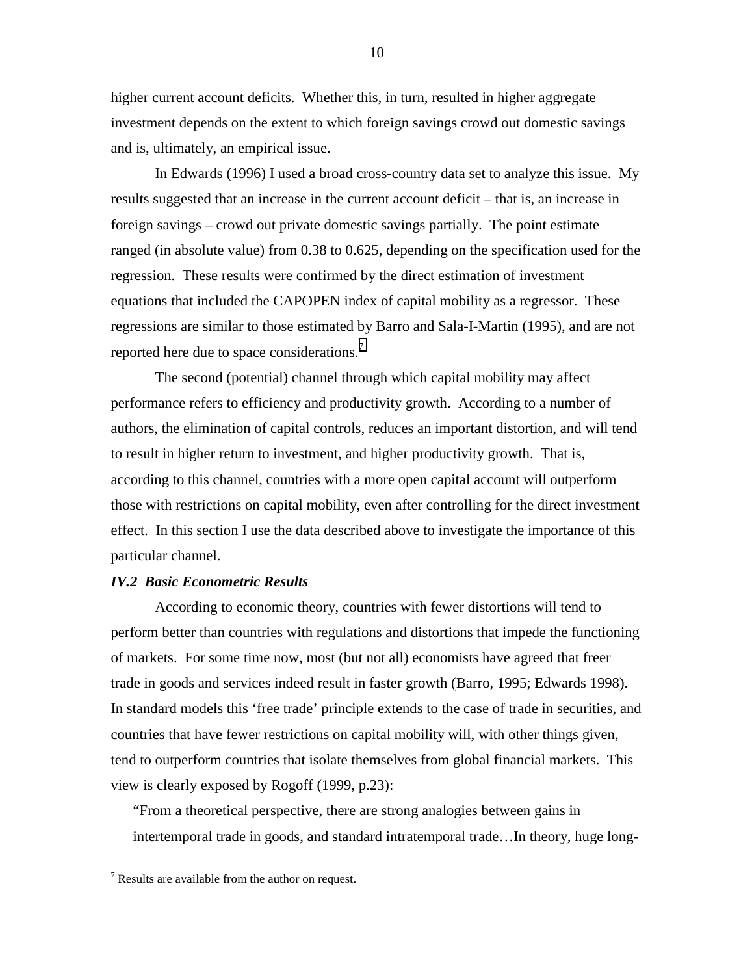higher current account deficits. Whether this, in turn, resulted in higher aggregate investment depends on the extent to which foreign savings crowd out domestic savings and is, ultimately, an empirical issue.

In Edwards (1996) I used a broad cross-country data set to analyze this issue. My results suggested that an increase in the current account deficit – that is, an increase in foreign savings – crowd out private domestic savings partially. The point estimate ranged (in absolute value) from 0.38 to 0.625, depending on the specification used for the regression. These results were confirmed by the direct estimation of investment equations that included the CAPOPEN index of capital mobility as a regressor. These regressions are similar to those estimated by Barro and Sala-I-Martin (1995), and are not reported here due to space considerations.<sup>7</sup>

The second (potential) channel through which capital mobility may affect performance refers to efficiency and productivity growth. According to a number of authors, the elimination of capital controls, reduces an important distortion, and will tend to result in higher return to investment, and higher productivity growth. That is, according to this channel, countries with a more open capital account will outperform those with restrictions on capital mobility, even after controlling for the direct investment effect. In this section I use the data described above to investigate the importance of this particular channel.

#### *IV.2 Basic Econometric Results*

According to economic theory, countries with fewer distortions will tend to perform better than countries with regulations and distortions that impede the functioning of markets. For some time now, most (but not all) economists have agreed that freer trade in goods and services indeed result in faster growth (Barro, 1995; Edwards 1998). In standard models this 'free trade' principle extends to the case of trade in securities, and countries that have fewer restrictions on capital mobility will, with other things given, tend to outperform countries that isolate themselves from global financial markets. This view is clearly exposed by Rogoff (1999, p.23):

"From a theoretical perspective, there are strong analogies between gains in intertemporal trade in goods, and standard intratemporal trade…In theory, huge long-

 $\overline{a}$ 

 $7$  Results are available from the author on request.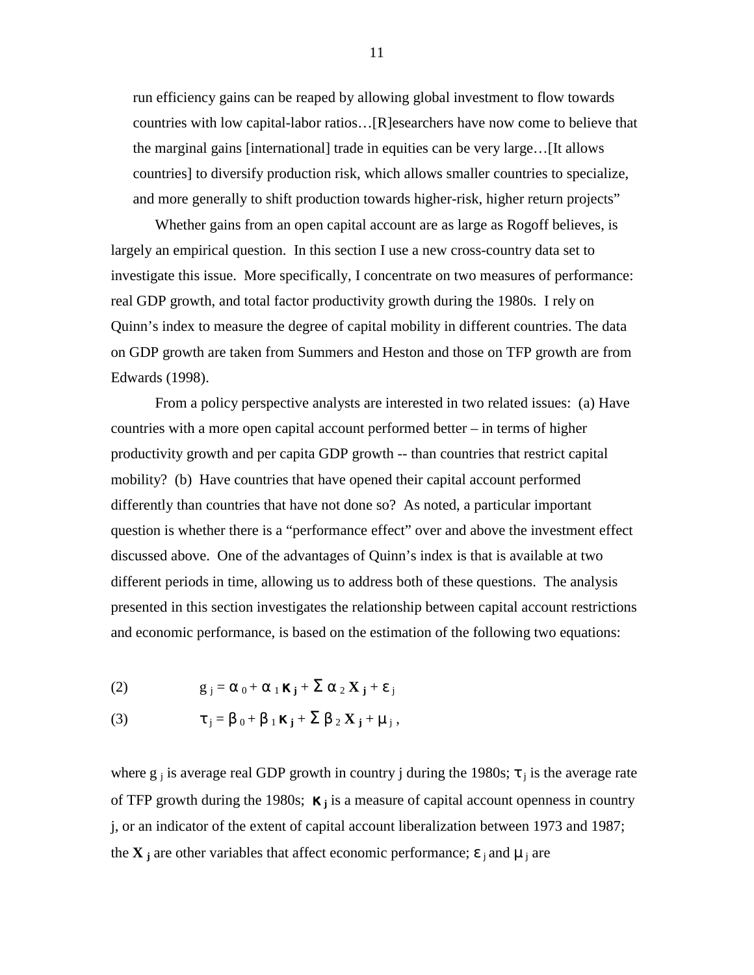run efficiency gains can be reaped by allowing global investment to flow towards countries with low capital-labor ratios…[R]esearchers have now come to believe that the marginal gains [international] trade in equities can be very large…[It allows countries] to diversify production risk, which allows smaller countries to specialize, and more generally to shift production towards higher-risk, higher return projects"

Whether gains from an open capital account are as large as Rogoff believes, is largely an empirical question. In this section I use a new cross-country data set to investigate this issue. More specifically, I concentrate on two measures of performance: real GDP growth, and total factor productivity growth during the 1980s. I rely on Quinn's index to measure the degree of capital mobility in different countries. The data on GDP growth are taken from Summers and Heston and those on TFP growth are from Edwards (1998).

From a policy perspective analysts are interested in two related issues: (a) Have countries with a more open capital account performed better – in terms of higher productivity growth and per capita GDP growth -- than countries that restrict capital mobility? (b) Have countries that have opened their capital account performed differently than countries that have not done so? As noted, a particular important question is whether there is a "performance effect" over and above the investment effect discussed above. One of the advantages of Quinn's index is that is available at two different periods in time, allowing us to address both of these questions. The analysis presented in this section investigates the relationship between capital account restrictions and economic performance, is based on the estimation of the following two equations:

(2) 
$$
g_j = \alpha_0 + \alpha_1 \kappa_j + \sum \alpha_2 \kappa_j + \varepsilon_j
$$

(3) 
$$
\tau_j = \beta_0 + \beta_1 \kappa_j + \sum \beta_2 X_j + \mu_j,
$$

where  $g_j$  is average real GDP growth in country j during the 1980s;  $\tau_j$  is the average rate of TFP growth during the 1980s; κ **<sup>j</sup>** is a measure of capital account openness in country j, or an indicator of the extent of capital account liberalization between 1973 and 1987; the **X** i are other variables that affect economic performance;  $\epsilon_i$  and  $\mu_i$  are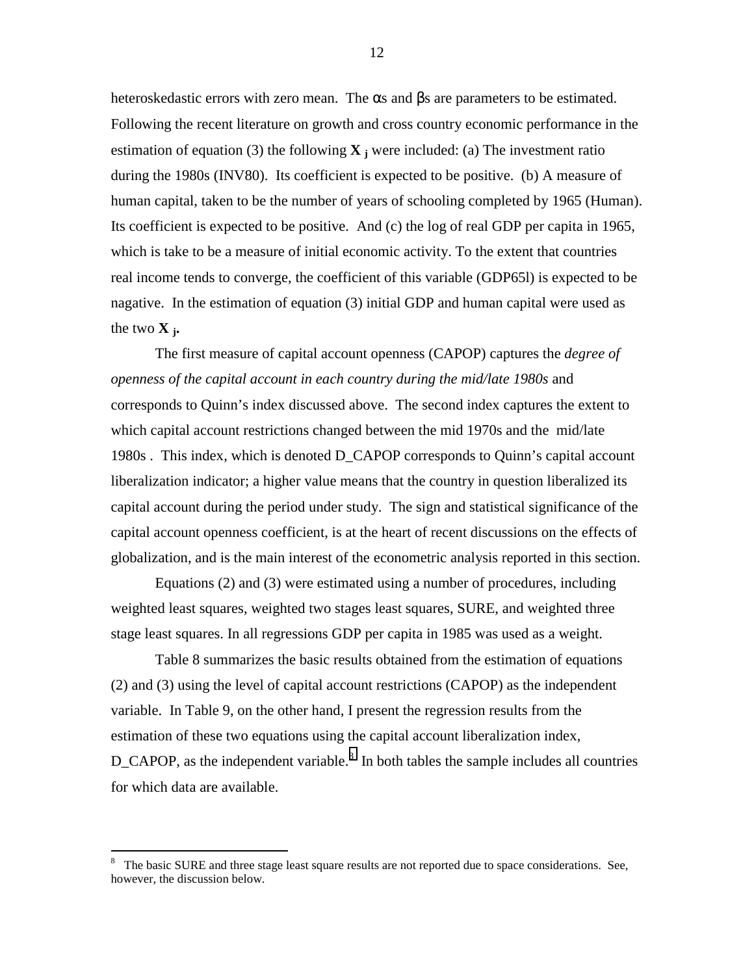heteroskedastic errors with zero mean. The  $\alpha$ s and  $\beta$ s are parameters to be estimated. Following the recent literature on growth and cross country economic performance in the estimation of equation (3) the following  $\bf{X}$  is were included: (a) The investment ratio during the 1980s (INV80). Its coefficient is expected to be positive. (b) A measure of human capital, taken to be the number of years of schooling completed by 1965 (Human). Its coefficient is expected to be positive. And (c) the log of real GDP per capita in 1965, which is take to be a measure of initial economic activity. To the extent that countries real income tends to converge, the coefficient of this variable (GDP65l) is expected to be nagative. In the estimation of equation (3) initial GDP and human capital were used as the two  $\bf{X}$ <sub>i</sub>.

The first measure of capital account openness (CAPOP) captures the *degree of openness of the capital account in each country during the mid/late 1980s* and corresponds to Quinn's index discussed above. The second index captures the extent to which capital account restrictions changed between the mid 1970s and the mid/late 1980s . This index, which is denoted D\_CAPOP corresponds to Quinn's capital account liberalization indicator; a higher value means that the country in question liberalized its capital account during the period under study. The sign and statistical significance of the capital account openness coefficient, is at the heart of recent discussions on the effects of globalization, and is the main interest of the econometric analysis reported in this section.

Equations (2) and (3) were estimated using a number of procedures, including weighted least squares, weighted two stages least squares, SURE, and weighted three stage least squares. In all regressions GDP per capita in 1985 was used as a weight.

Table 8 summarizes the basic results obtained from the estimation of equations (2) and (3) using the level of capital account restrictions (CAPOP) as the independent variable. In Table 9, on the other hand, I present the regression results from the estimation of these two equations using the capital account liberalization index,  $D_{\text{-}}$ CAPOP, as the independent variable.<sup>8</sup> In both tables the sample includes all countries for which data are available.

 $\overline{a}$ 

<sup>8</sup> The basic SURE and three stage least square results are not reported due to space considerations. See, however, the discussion below.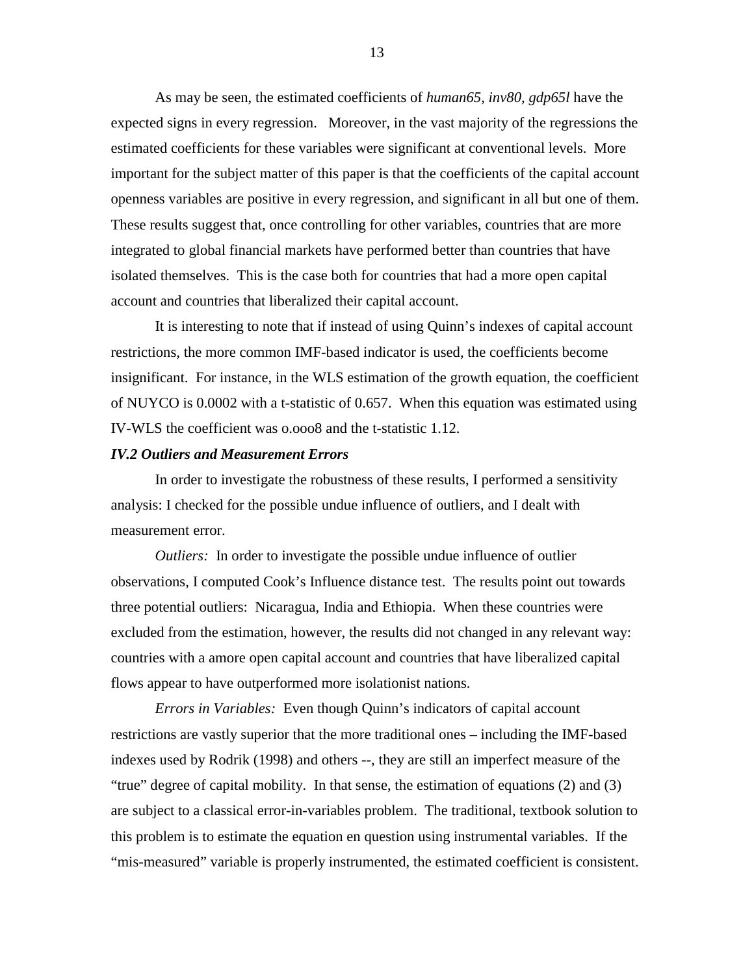As may be seen, the estimated coefficients of *human65, inv80, gdp65l* have the expected signs in every regression. Moreover, in the vast majority of the regressions the estimated coefficients for these variables were significant at conventional levels. More important for the subject matter of this paper is that the coefficients of the capital account openness variables are positive in every regression, and significant in all but one of them. These results suggest that, once controlling for other variables, countries that are more integrated to global financial markets have performed better than countries that have isolated themselves. This is the case both for countries that had a more open capital account and countries that liberalized their capital account.

It is interesting to note that if instead of using Quinn's indexes of capital account restrictions, the more common IMF-based indicator is used, the coefficients become insignificant. For instance, in the WLS estimation of the growth equation, the coefficient of NUYCO is 0.0002 with a t-statistic of 0.657. When this equation was estimated using IV-WLS the coefficient was o.ooo8 and the t-statistic 1.12.

### *IV.2 Outliers and Measurement Errors*

In order to investigate the robustness of these results, I performed a sensitivity analysis: I checked for the possible undue influence of outliers, and I dealt with measurement error.

*Outliers:* In order to investigate the possible undue influence of outlier observations, I computed Cook's Influence distance test. The results point out towards three potential outliers: Nicaragua, India and Ethiopia. When these countries were excluded from the estimation, however, the results did not changed in any relevant way: countries with a amore open capital account and countries that have liberalized capital flows appear to have outperformed more isolationist nations.

*Errors in Variables:* Even though Quinn's indicators of capital account restrictions are vastly superior that the more traditional ones – including the IMF-based indexes used by Rodrik (1998) and others --, they are still an imperfect measure of the "true" degree of capital mobility. In that sense, the estimation of equations (2) and (3) are subject to a classical error-in-variables problem. The traditional, textbook solution to this problem is to estimate the equation en question using instrumental variables. If the "mis-measured" variable is properly instrumented, the estimated coefficient is consistent.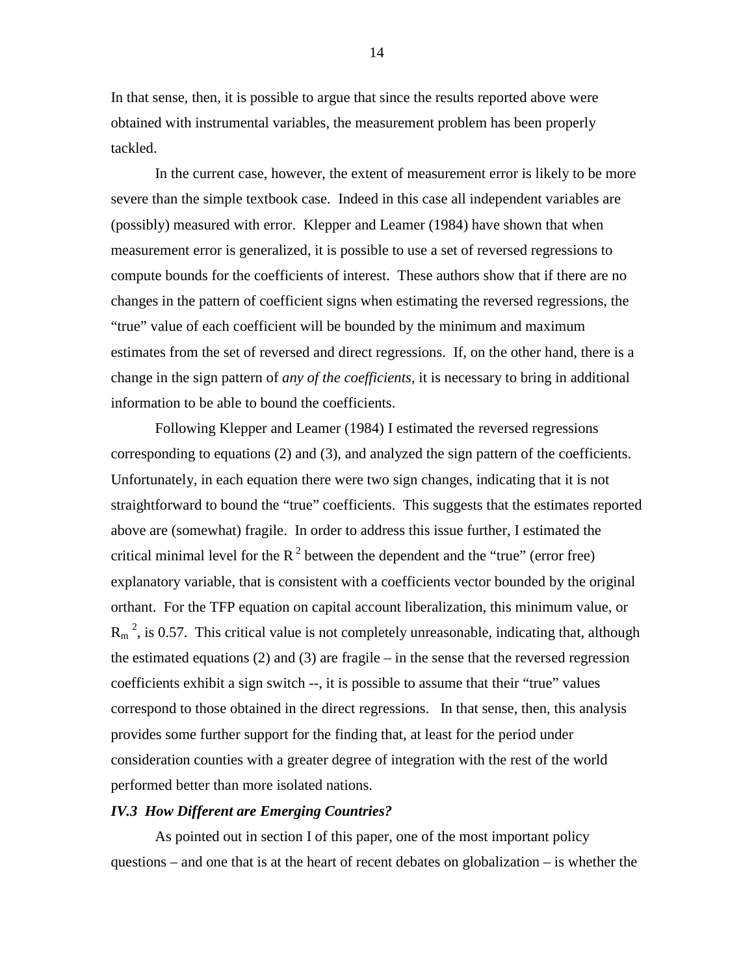In that sense, then, it is possible to argue that since the results reported above were obtained with instrumental variables, the measurement problem has been properly tackled.

In the current case, however, the extent of measurement error is likely to be more severe than the simple textbook case. Indeed in this case all independent variables are (possibly) measured with error. Klepper and Leamer (1984) have shown that when measurement error is generalized, it is possible to use a set of reversed regressions to compute bounds for the coefficients of interest. These authors show that if there are no changes in the pattern of coefficient signs when estimating the reversed regressions, the "true" value of each coefficient will be bounded by the minimum and maximum estimates from the set of reversed and direct regressions. If, on the other hand, there is a change in the sign pattern of *any of the coefficients*, it is necessary to bring in additional information to be able to bound the coefficients.

Following Klepper and Leamer (1984) I estimated the reversed regressions corresponding to equations (2) and (3), and analyzed the sign pattern of the coefficients. Unfortunately, in each equation there were two sign changes, indicating that it is not straightforward to bound the "true" coefficients. This suggests that the estimates reported above are (somewhat) fragile. In order to address this issue further, I estimated the critical minimal level for the  $R^2$  between the dependent and the "true" (error free) explanatory variable, that is consistent with a coefficients vector bounded by the original orthant. For the TFP equation on capital account liberalization, this minimum value, or  $R_m^2$ , is 0.57. This critical value is not completely unreasonable, indicating that, although the estimated equations (2) and (3) are fragile – in the sense that the reversed regression coefficients exhibit a sign switch --, it is possible to assume that their "true" values correspond to those obtained in the direct regressions. In that sense, then, this analysis provides some further support for the finding that, at least for the period under consideration counties with a greater degree of integration with the rest of the world performed better than more isolated nations.

#### *IV.3 How Different are Emerging Countries?*

As pointed out in section I of this paper, one of the most important policy questions – and one that is at the heart of recent debates on globalization – is whether the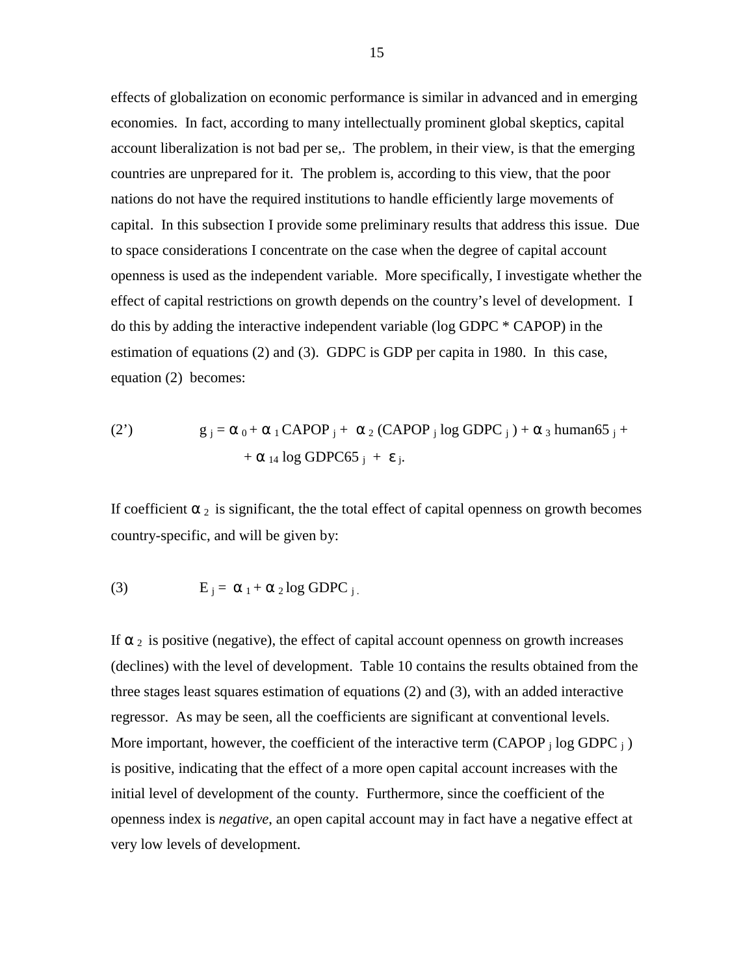effects of globalization on economic performance is similar in advanced and in emerging economies. In fact, according to many intellectually prominent global skeptics, capital account liberalization is not bad per se,. The problem, in their view, is that the emerging countries are unprepared for it. The problem is, according to this view, that the poor nations do not have the required institutions to handle efficiently large movements of capital. In this subsection I provide some preliminary results that address this issue. Due to space considerations I concentrate on the case when the degree of capital account openness is used as the independent variable. More specifically, I investigate whether the effect of capital restrictions on growth depends on the country's level of development. I do this by adding the interactive independent variable (log GDPC \* CAPOP) in the estimation of equations (2) and (3). GDPC is GDP per capita in 1980. In this case, equation (2) becomes:

(2') 
$$
g_j = \alpha_0 + \alpha_1 \text{CAPOP}_j + \alpha_2 \text{ (CAPOP}_j \log \text{GDPC}_j) + \alpha_3 \text{ human65}_j + \alpha_{14} \log \text{GDPC65}_j + \epsilon_j.
$$

If coefficient  $\alpha_2$  is significant, the the total effect of capital openness on growth becomes country-specific, and will be given by:

(3) 
$$
E_j = \alpha_1 + \alpha_2 \log GDPC_j.
$$

If  $\alpha_2$  is positive (negative), the effect of capital account openness on growth increases (declines) with the level of development. Table 10 contains the results obtained from the three stages least squares estimation of equations (2) and (3), with an added interactive regressor. As may be seen, all the coefficients are significant at conventional levels. More important, however, the coefficient of the interactive term (CAPOP  $_i$  log GDPC  $_i$ ) is positive, indicating that the effect of a more open capital account increases with the initial level of development of the county. Furthermore, since the coefficient of the openness index is *negative*, an open capital account may in fact have a negative effect at very low levels of development.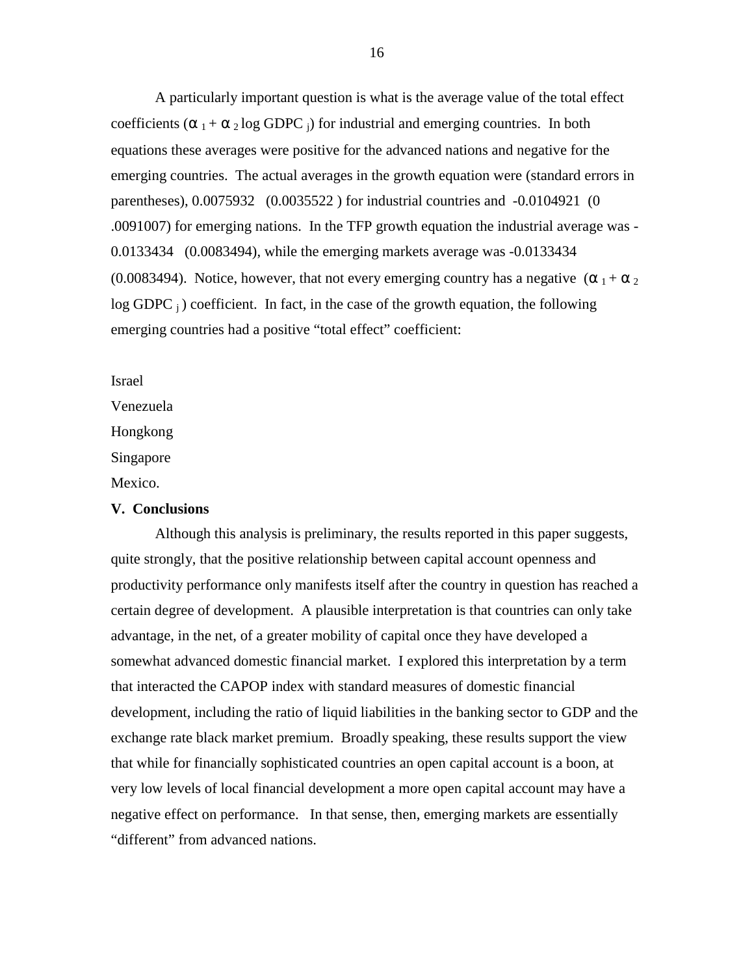A particularly important question is what is the average value of the total effect coefficients ( $\alpha_1 + \alpha_2 \log$  GDPC j) for industrial and emerging countries. In both equations these averages were positive for the advanced nations and negative for the emerging countries. The actual averages in the growth equation were (standard errors in parentheses), 0.0075932 (0.0035522 ) for industrial countries and -0.0104921 (0 .0091007) for emerging nations. In the TFP growth equation the industrial average was - 0.0133434 (0.0083494), while the emerging markets average was -0.0133434 (0.0083494). Notice, however, that not every emerging country has a negative  $(\alpha_1 + \alpha_2)$  $log GDPC_i$ ) coefficient. In fact, in the case of the growth equation, the following emerging countries had a positive "total effect" coefficient:

Israel

Venezuela

Hongkong

Singapore

Mexico.

### **V. Conclusions**

Although this analysis is preliminary, the results reported in this paper suggests, quite strongly, that the positive relationship between capital account openness and productivity performance only manifests itself after the country in question has reached a certain degree of development. A plausible interpretation is that countries can only take advantage, in the net, of a greater mobility of capital once they have developed a somewhat advanced domestic financial market. I explored this interpretation by a term that interacted the CAPOP index with standard measures of domestic financial development, including the ratio of liquid liabilities in the banking sector to GDP and the exchange rate black market premium. Broadly speaking, these results support the view that while for financially sophisticated countries an open capital account is a boon, at very low levels of local financial development a more open capital account may have a negative effect on performance. In that sense, then, emerging markets are essentially "different" from advanced nations.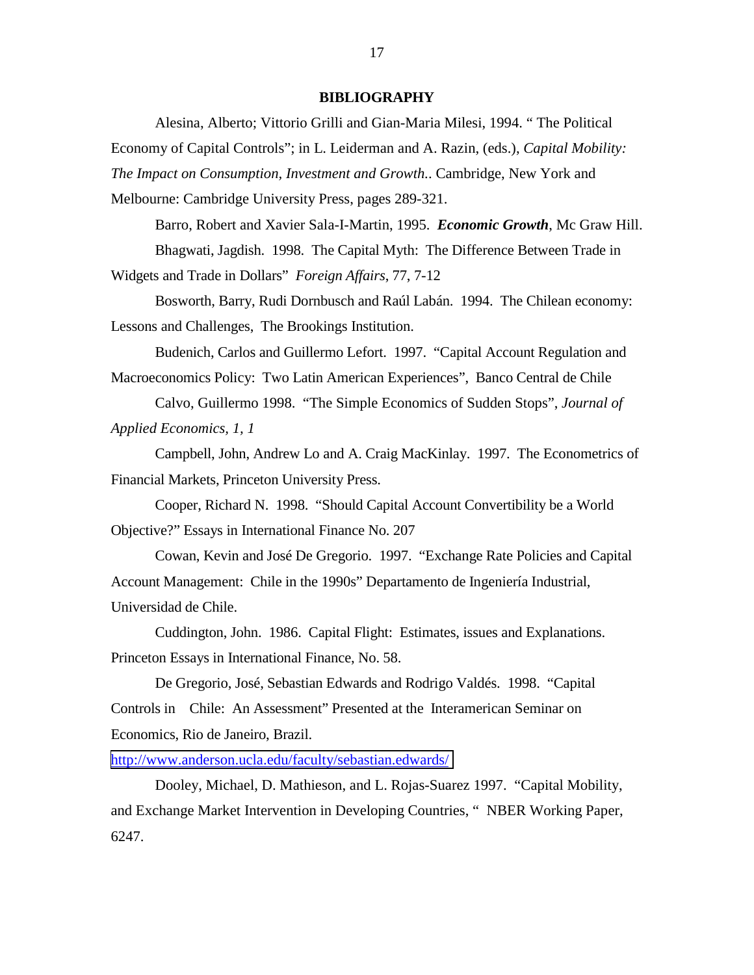#### **BIBLIOGRAPHY**

Alesina, Alberto; Vittorio Grilli and Gian-Maria Milesi, 1994. " The Political Economy of Capital Controls"; in L. Leiderman and A. Razin, (eds.), *Capital Mobility: The Impact on Consumption, Investment and Growth.*. Cambridge, New York and Melbourne: Cambridge University Press, pages 289-321.

Barro, Robert and Xavier Sala-I-Martin, 1995. *Economic Growth*, Mc Graw Hill. Bhagwati, Jagdish. 1998. The Capital Myth: The Difference Between Trade in Widgets and Trade in Dollars" *Foreign Affairs*, 77, 7-12

Bosworth, Barry, Rudi Dornbusch and Raúl Labán. 1994. The Chilean economy: Lessons and Challenges, The Brookings Institution.

Budenich, Carlos and Guillermo Lefort. 1997. "Capital Account Regulation and Macroeconomics Policy: Two Latin American Experiences", Banco Central de Chile

Calvo, Guillermo 1998. "The Simple Economics of Sudden Stops", *Journal of Applied Economics, 1, 1*

Campbell, John, Andrew Lo and A. Craig MacKinlay. 1997. The Econometrics of Financial Markets, Princeton University Press.

Cooper, Richard N. 1998. "Should Capital Account Convertibility be a World Objective?" Essays in International Finance No. 207

Cowan, Kevin and José De Gregorio. 1997. "Exchange Rate Policies and Capital Account Management: Chile in the 1990s" Departamento de Ingeniería Industrial, Universidad de Chile.

Cuddington, John. 1986. Capital Flight: Estimates, issues and Explanations. Princeton Essays in International Finance, No. 58.

De Gregorio, José, Sebastian Edwards and Rodrigo Valdés. 1998. "Capital Controls in Chile: An Assessment" Presented at the Interamerican Seminar on Economics, Rio de Janeiro, Brazil.

<http://www.anderson.ucla.edu/faculty/sebastian.edwards/>

Dooley, Michael, D. Mathieson, and L. Rojas-Suarez 1997. "Capital Mobility, and Exchange Market Intervention in Developing Countries, " NBER Working Paper, 6247.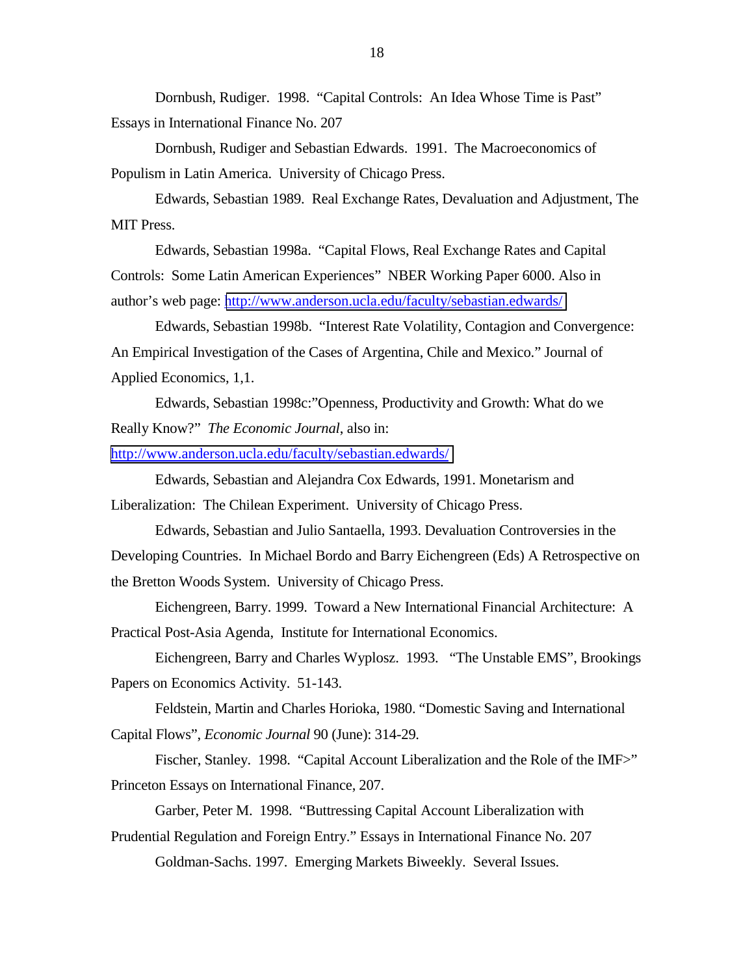Dornbush, Rudiger. 1998. "Capital Controls: An Idea Whose Time is Past" Essays in International Finance No. 207

Dornbush, Rudiger and Sebastian Edwards. 1991. The Macroeconomics of Populism in Latin America. University of Chicago Press.

Edwards, Sebastian 1989. Real Exchange Rates, Devaluation and Adjustment, The MIT Press.

Edwards, Sebastian 1998a. "Capital Flows, Real Exchange Rates and Capital Controls: Some Latin American Experiences" NBER Working Paper 6000. Also in author's web page: <http://www.anderson.ucla.edu/faculty/sebastian.edwards/>

Edwards, Sebastian 1998b. "Interest Rate Volatility, Contagion and Convergence: An Empirical Investigation of the Cases of Argentina, Chile and Mexico." Journal of Applied Economics, 1,1.

Edwards, Sebastian 1998c:"Openness, Productivity and Growth: What do we Really Know?" *The Economic Journal*, also in:

<http://www.anderson.ucla.edu/faculty/sebastian.edwards/>

Edwards, Sebastian and Alejandra Cox Edwards, 1991. Monetarism and Liberalization: The Chilean Experiment. University of Chicago Press.

Edwards, Sebastian and Julio Santaella, 1993. Devaluation Controversies in the Developing Countries. In Michael Bordo and Barry Eichengreen (Eds) A Retrospective on the Bretton Woods System. University of Chicago Press.

Eichengreen, Barry. 1999. Toward a New International Financial Architecture: A Practical Post-Asia Agenda, Institute for International Economics.

Eichengreen, Barry and Charles Wyplosz. 1993. "The Unstable EMS", Brookings Papers on Economics Activity. 51-143.

Feldstein, Martin and Charles Horioka, 1980. "Domestic Saving and International Capital Flows", *Economic Journal* 90 (June): 314-29.

Fischer, Stanley. 1998. "Capital Account Liberalization and the Role of the IMF>" Princeton Essays on International Finance, 207.

Garber, Peter M. 1998. "Buttressing Capital Account Liberalization with Prudential Regulation and Foreign Entry." Essays in International Finance No. 207

Goldman-Sachs. 1997. Emerging Markets Biweekly. Several Issues.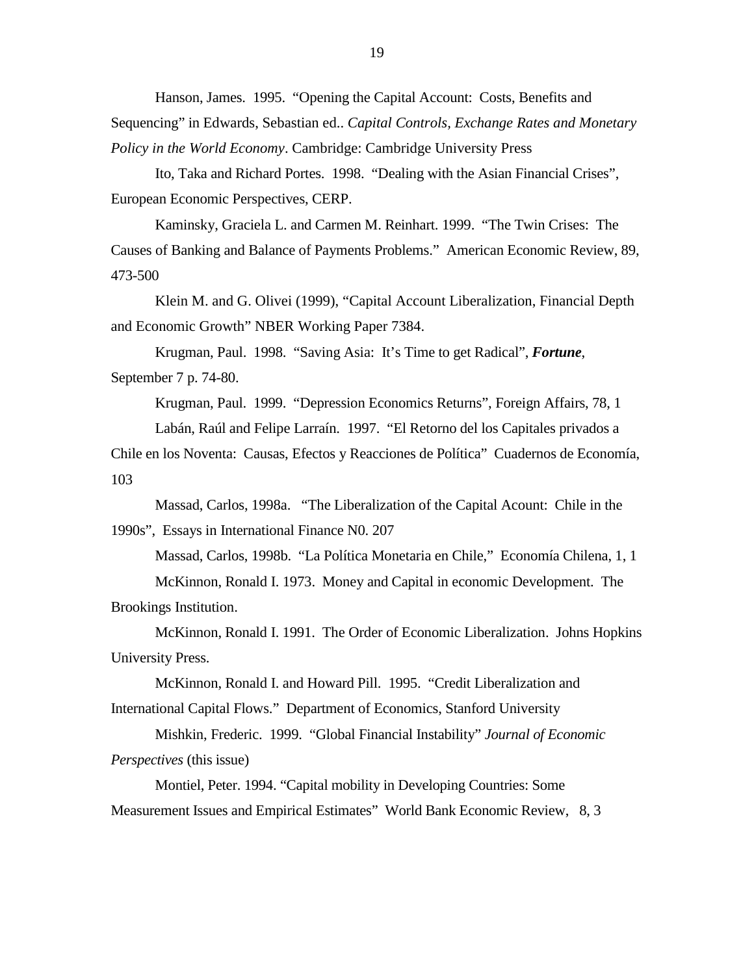Hanson, James. 1995. "Opening the Capital Account: Costs, Benefits and Sequencing" in Edwards, Sebastian ed.. *Capital Controls, Exchange Rates and Monetary Policy in the World Economy*. Cambridge: Cambridge University Press

Ito, Taka and Richard Portes. 1998. "Dealing with the Asian Financial Crises", European Economic Perspectives, CERP.

Kaminsky, Graciela L. and Carmen M. Reinhart. 1999. "The Twin Crises: The Causes of Banking and Balance of Payments Problems." American Economic Review, 89, 473-500

Klein M. and G. Olivei (1999), "Capital Account Liberalization, Financial Depth and Economic Growth" NBER Working Paper 7384.

Krugman, Paul. 1998. "Saving Asia: It's Time to get Radical", *Fortune*, September 7 p. 74-80.

Krugman, Paul. 1999. "Depression Economics Returns", Foreign Affairs, 78, 1

Labán, Raúl and Felipe Larraín. 1997. "El Retorno del los Capitales privados a

Chile en los Noventa: Causas, Efectos y Reacciones de Política" Cuadernos de Economía, 103

Massad, Carlos, 1998a. "The Liberalization of the Capital Acount: Chile in the 1990s", Essays in International Finance N0. 207

Massad, Carlos, 1998b. "La Política Monetaria en Chile," Economía Chilena, 1, 1

McKinnon, Ronald I. 1973. Money and Capital in economic Development. The Brookings Institution.

McKinnon, Ronald I. 1991. The Order of Economic Liberalization. Johns Hopkins University Press.

McKinnon, Ronald I. and Howard Pill. 1995. "Credit Liberalization and International Capital Flows." Department of Economics, Stanford University

Mishkin, Frederic. 1999. "Global Financial Instability" *Journal of Economic Perspectives* (this issue)

Montiel, Peter. 1994. "Capital mobility in Developing Countries: Some Measurement Issues and Empirical Estimates" World Bank Economic Review, 8, 3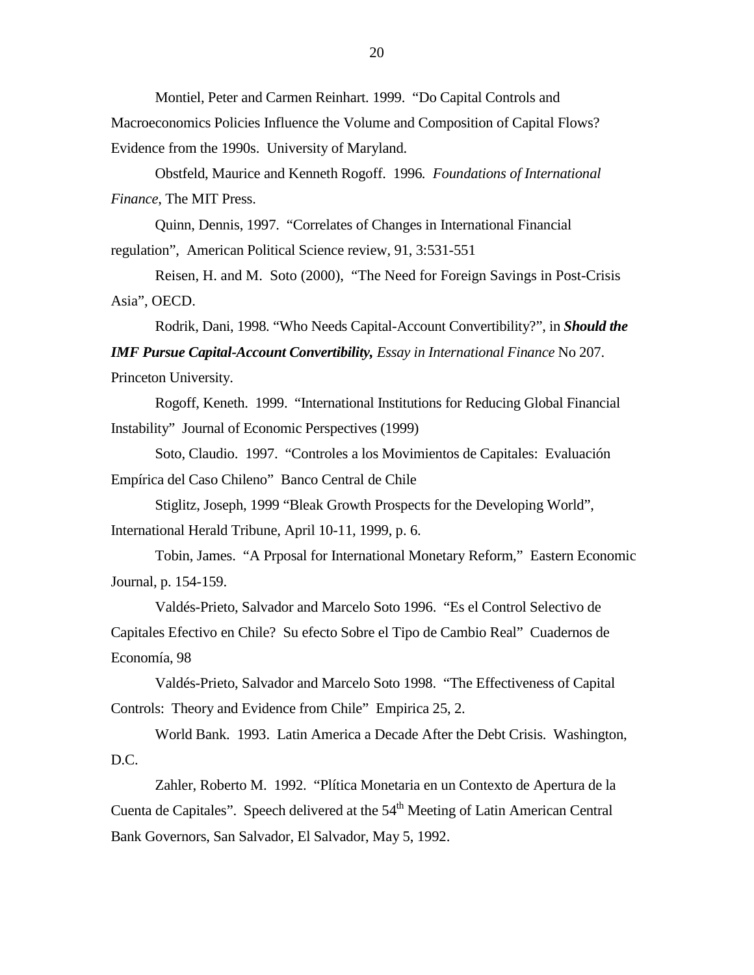Montiel, Peter and Carmen Reinhart. 1999. "Do Capital Controls and Macroeconomics Policies Influence the Volume and Composition of Capital Flows? Evidence from the 1990s. University of Maryland.

Obstfeld, Maurice and Kenneth Rogoff. 1996*. Foundations of International Finance*, The MIT Press.

Quinn, Dennis, 1997. "Correlates of Changes in International Financial regulation", American Political Science review, 91, 3:531-551

Reisen, H. and M. Soto (2000), "The Need for Foreign Savings in Post-Crisis Asia", OECD.

Rodrik, Dani, 1998. "Who Needs Capital-Account Convertibility?", in *Should the IMF Pursue Capital-Account Convertibility, Essay in International Finance* No 207. Princeton University.

Rogoff, Keneth. 1999. "International Institutions for Reducing Global Financial Instability" Journal of Economic Perspectives (1999)

Soto, Claudio. 1997. "Controles a los Movimientos de Capitales: Evaluación Empírica del Caso Chileno" Banco Central de Chile

Stiglitz, Joseph, 1999 "Bleak Growth Prospects for the Developing World", International Herald Tribune, April 10-11, 1999, p. 6.

Tobin, James. "A Prposal for International Monetary Reform," Eastern Economic Journal, p. 154-159.

Valdés-Prieto, Salvador and Marcelo Soto 1996. "Es el Control Selectivo de Capitales Efectivo en Chile? Su efecto Sobre el Tipo de Cambio Real" Cuadernos de Economía, 98

Valdés-Prieto, Salvador and Marcelo Soto 1998. "The Effectiveness of Capital Controls: Theory and Evidence from Chile" Empirica 25, 2.

World Bank. 1993. Latin America a Decade After the Debt Crisis. Washington, D.C.

Zahler, Roberto M. 1992. "Plítica Monetaria en un Contexto de Apertura de la Cuenta de Capitales". Speech delivered at the  $54<sup>th</sup>$  Meeting of Latin American Central Bank Governors, San Salvador, El Salvador, May 5, 1992.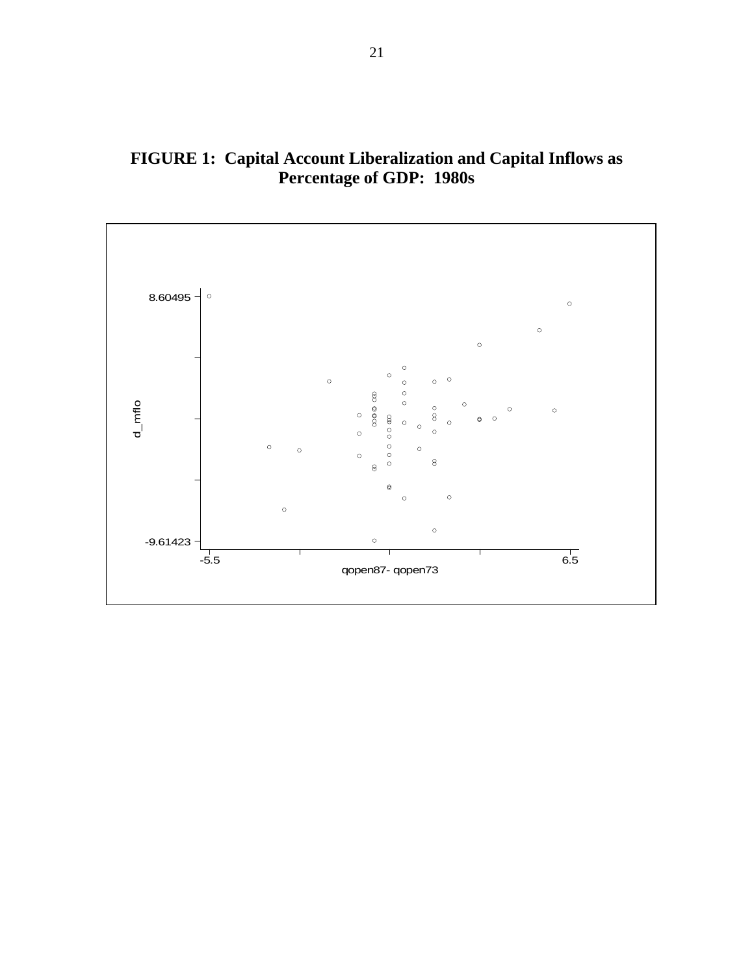

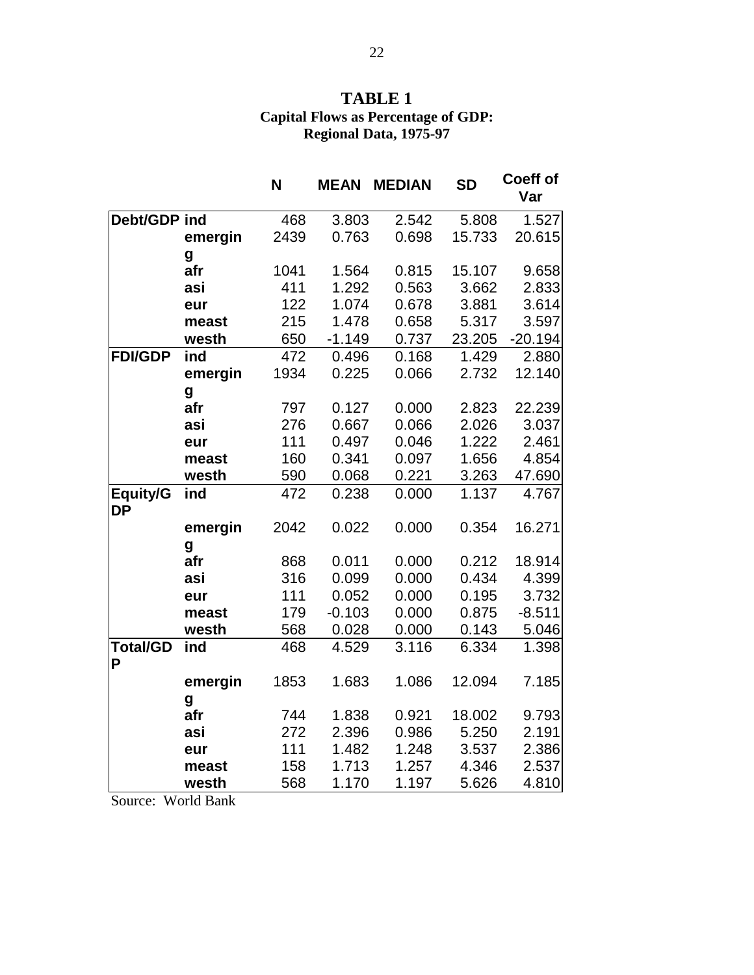### **TABLE 1 Capital Flows as Percentage of GDP: Regional Data, 1975-97**

|                       |         | N    | <b>MEAN</b> | <b>MEDIAN</b> | <b>SD</b> | <b>Coeff of</b><br>Var |
|-----------------------|---------|------|-------------|---------------|-----------|------------------------|
| Debt/GDP ind          |         | 468  | 3.803       | 2.542         | 5.808     | 1.527                  |
|                       | emergin | 2439 | 0.763       | 0.698         | 15.733    | 20.615                 |
|                       | g       |      |             |               |           |                        |
|                       | afr     | 1041 | 1.564       | 0.815         | 15.107    | 9.658                  |
|                       | asi     | 411  | 1.292       | 0.563         | 3.662     | 2.833                  |
|                       | eur     | 122  | 1.074       | 0.678         | 3.881     | 3.614                  |
|                       | meast   | 215  | 1.478       | 0.658         | 5.317     | 3.597                  |
|                       | westh   | 650  | $-1.149$    | 0.737         | 23.205    | $-20.194$              |
| <b>FDI/GDP</b>        | ind     | 472  | 0.496       | 0.168         | 1.429     | 2.880                  |
|                       | emergin | 1934 | 0.225       | 0.066         | 2.732     | 12.140                 |
|                       | g       |      |             |               |           |                        |
|                       | afr     | 797  | 0.127       | 0.000         | 2.823     | 22.239                 |
|                       | asi     | 276  | 0.667       | 0.066         | 2.026     | 3.037                  |
|                       | eur     | 111  | 0.497       | 0.046         | 1.222     | 2.461                  |
|                       | meast   | 160  | 0.341       | 0.097         | 1.656     | 4.854                  |
|                       | westh   | 590  | 0.068       | 0.221         | 3.263     | 47.690                 |
| Equity/G<br><b>DP</b> | ind     | 472  | 0.238       | 0.000         | 1.137     | 4.767                  |
|                       | emergin | 2042 | 0.022       | 0.000         | 0.354     | 16.271                 |
|                       | g       |      |             |               |           |                        |
|                       | afr     | 868  | 0.011       | 0.000         | 0.212     | 18.914                 |
|                       | asi     | 316  | 0.099       | 0.000         | 0.434     | 4.399                  |
|                       | eur     | 111  | 0.052       | 0.000         | 0.195     | 3.732                  |
|                       | meast   | 179  | $-0.103$    | 0.000         | 0.875     | $-8.511$               |
|                       | westh   | 568  | 0.028       | 0.000         | 0.143     | 5.046                  |
| <b>Total/GD</b><br>P  | ind     | 468  | 4.529       | 3.116         | 6.334     | 1.398                  |
|                       | emergin | 1853 | 1.683       | 1.086         | 12.094    | 7.185                  |
|                       | g       |      |             |               |           |                        |
|                       | afr     | 744  | 1.838       | 0.921         | 18.002    | 9.793                  |
|                       | asi     | 272  | 2.396       | 0.986         | 5.250     | 2.191                  |
|                       | eur     | 111  | 1.482       | 1.248         | 3.537     | 2.386                  |
|                       | meast   | 158  | 1.713       | 1.257         | 4.346     | 2.537                  |
|                       | westh   | 568  | 1.170       | 1.197         | 5.626     | 4.810                  |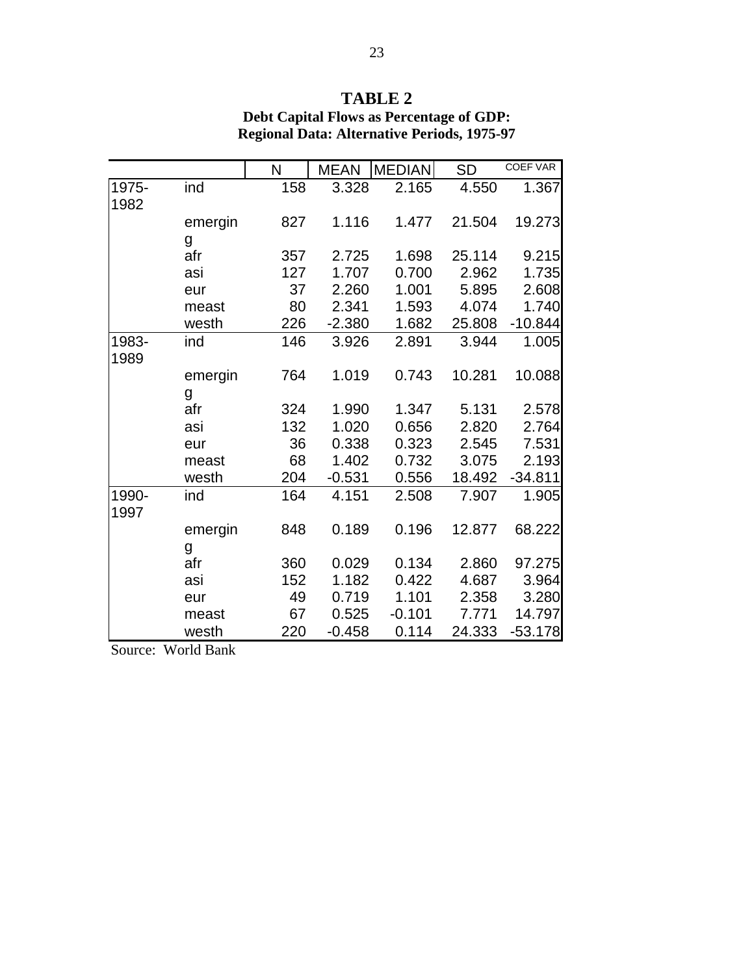# **TABLE 2**

|         |                          |          |                      |                                                                                                                                                   | <b>COEF VAR</b> |
|---------|--------------------------|----------|----------------------|---------------------------------------------------------------------------------------------------------------------------------------------------|-----------------|
|         | 158                      |          | 2.165                | 4.550                                                                                                                                             | 1.367           |
|         |                          |          |                      |                                                                                                                                                   |                 |
| emergin | 827                      |          | 1.477                | 21.504                                                                                                                                            | 19.273          |
| g       |                          |          |                      |                                                                                                                                                   |                 |
| afr     | 357                      |          | 1.698                | 25.114                                                                                                                                            | 9.215           |
| asi     | 127                      | 1.707    | 0.700                | 2.962                                                                                                                                             | 1.735           |
| eur     | 37                       |          | 1.001                | 5.895                                                                                                                                             | 2.608           |
| meast   | 80                       | 2.341    | 1.593                | 4.074                                                                                                                                             | 1.740           |
| westh   | 226                      |          | 1.682                | 25.808                                                                                                                                            | $-10.844$       |
| ind     | 146                      |          | 2.891                | 3.944                                                                                                                                             | 1.005           |
|         |                          |          |                      |                                                                                                                                                   |                 |
|         | 764                      |          | 0.743                | 10.281                                                                                                                                            | 10.088          |
|         |                          |          |                      |                                                                                                                                                   |                 |
| afr     | 324                      |          | 1.347                | 5.131                                                                                                                                             | 2.578           |
| asi     | 132                      |          | 0.656                | 2.820                                                                                                                                             | 2.764           |
| eur     | 36                       |          | 0.323                | 2.545                                                                                                                                             | 7.531           |
| meast   | 68                       |          | 0.732                | 3.075                                                                                                                                             | 2.193           |
| westh   | 204                      | $-0.531$ | 0.556                | 18.492                                                                                                                                            | $-34.811$       |
| ind     | 164                      | 4.151    | 2.508                | 7.907                                                                                                                                             | 1.905           |
|         |                          |          |                      |                                                                                                                                                   |                 |
| emergin | 848                      | 0.189    | 0.196                | 12.877                                                                                                                                            | 68.222          |
|         |                          |          |                      |                                                                                                                                                   |                 |
| afr     | 360                      |          | 0.134                | 2.860                                                                                                                                             | 97.275          |
| asi     | 152                      |          | 0.422                | 4.687                                                                                                                                             | 3.964           |
| eur     | 49                       | 0.719    | 1.101                | 2.358                                                                                                                                             | 3.280           |
| meast   | 67                       |          | $-0.101$             | 7.771                                                                                                                                             | 14.797          |
| westh   | 220                      |          | 0.114                | 24.333                                                                                                                                            | $-53.178$       |
|         | ind<br>emergin<br>g<br>g | N        | <b>MEAN</b><br>3.328 | <b>MEDIAN</b><br>1.116<br>2.725<br>2.260<br>$-2.380$<br>3.926<br>1.019<br>1.990<br>1.020<br>0.338<br>1.402<br>0.029<br>1.182<br>0.525<br>$-0.458$ | <b>SD</b>       |

## **Debt Capital Flows as Percentage of GDP: Regional Data: Alternative Periods, 1975-97**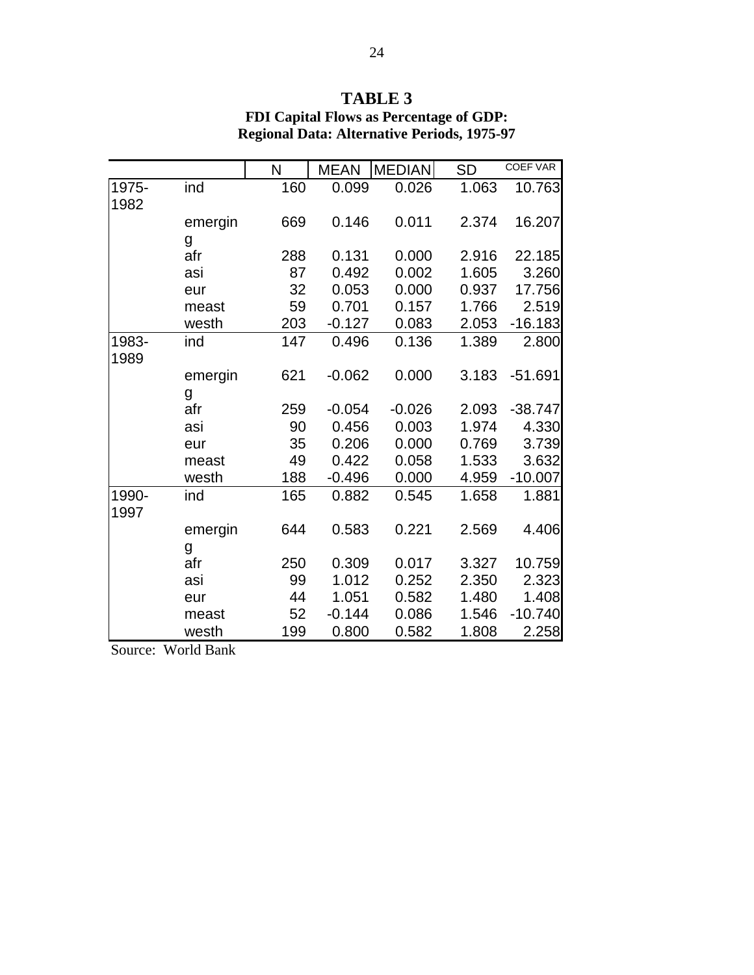|       |         | N   | <b>MEAN</b> | <b>MEDIAN</b> | <b>SD</b> | <b>COEF VAR</b> |
|-------|---------|-----|-------------|---------------|-----------|-----------------|
| 1975- | ind     | 160 | 0.099       | 0.026         | 1.063     | 10.763          |
| 1982  |         |     |             |               |           |                 |
|       | emergin | 669 | 0.146       | 0.011         | 2.374     | 16.207          |
|       | g       |     |             |               |           |                 |
|       | afr     | 288 | 0.131       | 0.000         | 2.916     | 22.185          |
|       | asi     | 87  | 0.492       | 0.002         | 1.605     | 3.260           |
|       | eur     | 32  | 0.053       | 0.000         | 0.937     | 17.756          |
|       | meast   | 59  | 0.701       | 0.157         | 1.766     | 2.519           |
|       | westh   | 203 | $-0.127$    | 0.083         | 2.053     | $-16.183$       |
| 1983- | ind     | 147 | 0.496       | 0.136         | 1.389     | 2.800           |
| 1989  |         |     |             |               |           |                 |
|       | emergin | 621 | $-0.062$    | 0.000         | 3.183     | $-51.691$       |
|       | g       |     |             |               |           |                 |
|       | afr     | 259 | $-0.054$    | $-0.026$      | 2.093     | $-38.747$       |
|       | asi     | 90  | 0.456       | 0.003         | 1.974     | 4.330           |
|       | eur     | 35  | 0.206       | 0.000         | 0.769     | 3.739           |
|       | meast   | 49  | 0.422       | 0.058         | 1.533     | 3.632           |
|       | westh   | 188 | $-0.496$    | 0.000         | 4.959     | $-10.007$       |
| 1990- | ind     | 165 | 0.882       | 0.545         | 1.658     | 1.881           |
| 1997  |         |     |             |               |           |                 |
|       | emergin | 644 | 0.583       | 0.221         | 2.569     | 4.406           |
|       | g       |     |             |               |           |                 |
|       | afr     | 250 | 0.309       | 0.017         | 3.327     | 10.759          |
|       | asi     | 99  | 1.012       | 0.252         | 2.350     | 2.323           |
|       | eur     | 44  | 1.051       | 0.582         | 1.480     | 1.408           |
|       | meast   | 52  | $-0.144$    | 0.086         | 1.546     | $-10.740$       |
|       | westh   | 199 | 0.800       | 0.582         | 1.808     | 2.258           |

### **TABLE 3 FDI Capital Flows as Percentage of GDP: Regional Data: Alternative Periods, 1975-97**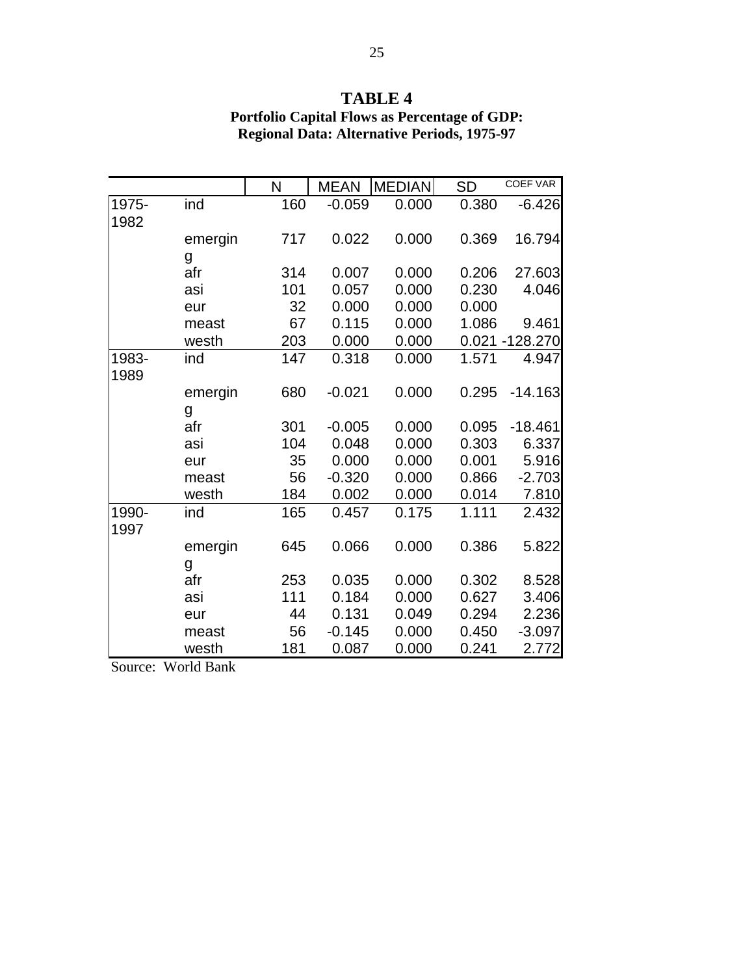# **TABLE 4**

|       |         | N   | <b>MEAN</b> | <b>MEDIAN</b> | <b>SD</b> | COEF VAR       |
|-------|---------|-----|-------------|---------------|-----------|----------------|
| 1975- | ind     | 160 | $-0.059$    | 0.000         | 0.380     | $-6.426$       |
| 1982  |         |     |             |               |           |                |
|       | emergin | 717 | 0.022       | 0.000         | 0.369     | 16.794         |
|       | g       |     |             |               |           |                |
|       | afr     | 314 | 0.007       | 0.000         | 0.206     | 27.603         |
|       | asi     | 101 | 0.057       | 0.000         | 0.230     | 4.046          |
|       | eur     | 32  | 0.000       | 0.000         | 0.000     |                |
|       | meast   | 67  | 0.115       | 0.000         | 1.086     | 9.461          |
|       | westh   | 203 | 0.000       | 0.000         |           | 0.021 -128.270 |
| 1983- | ind     | 147 | 0.318       | 0.000         | 1.571     | 4.947          |
| 1989  |         |     |             |               |           |                |
|       | emergin | 680 | $-0.021$    | 0.000         | 0.295     | $-14.163$      |
|       | g       |     |             |               |           |                |
|       | afr     | 301 | $-0.005$    | 0.000         | 0.095     | $-18.461$      |
|       | asi     | 104 | 0.048       | 0.000         | 0.303     | 6.337          |
|       | eur     | 35  | 0.000       | 0.000         | 0.001     | 5.916          |
|       | meast   | 56  | $-0.320$    | 0.000         | 0.866     | $-2.703$       |
|       | westh   | 184 | 0.002       | 0.000         | 0.014     | 7.810          |
| 1990- | ind     | 165 | 0.457       | 0.175         | 1.111     | 2.432          |
| 1997  |         |     |             |               |           |                |
|       | emergin | 645 | 0.066       | 0.000         | 0.386     | 5.822          |
|       | g       |     |             |               |           |                |
|       | afr     | 253 | 0.035       | 0.000         | 0.302     | 8.528          |
|       | asi     | 111 | 0.184       | 0.000         | 0.627     | 3.406          |
|       | eur     | 44  | 0.131       | 0.049         | 0.294     | 2.236          |
|       | meast   | 56  | $-0.145$    | 0.000         | 0.450     | $-3.097$       |
|       | westh   | 181 | 0.087       | 0.000         | 0.241     | 2.772          |

### **Portfolio Capital Flows as Percentage of GDP: Regional Data: Alternative Periods, 1975-97**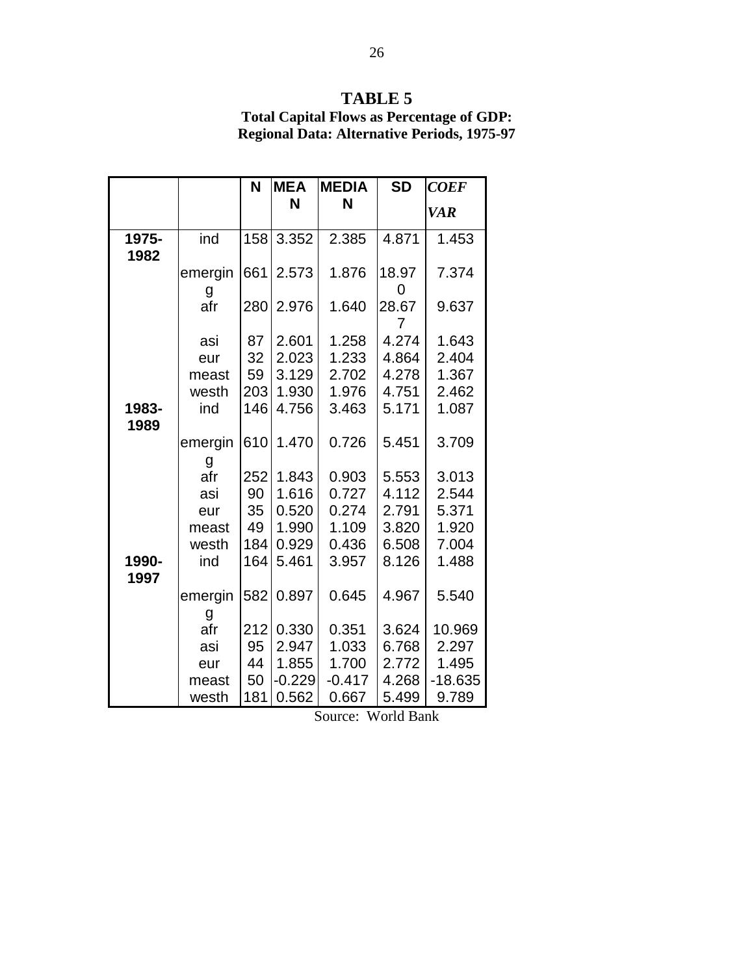# **TABLE 5**

**Total Capital Flows as Percentage of GDP: Regional Data: Alternative Periods, 1975-97**

|               |              | N   | <b>MEA</b> | <b>MEDIA</b> | <b>SD</b>  | <b>COEF</b> |
|---------------|--------------|-----|------------|--------------|------------|-------------|
|               |              |     | N          | N            |            | <b>VAR</b>  |
| 1975-<br>1982 | ind          | 158 | 3.352      | 2.385        | 4.871      | 1.453       |
|               | emergin<br>g | 661 | 2.573      | 1.876        | 18.97<br>0 | 7.374       |
|               | afr          | 280 | 2.976      | 1.640        | 28.67<br>7 | 9.637       |
|               | asi          | 87  | 2.601      | 1.258        | 4.274      | 1.643       |
|               | eur          | 32  | 2.023      | 1.233        | 4.864      | 2.404       |
|               | meast        | 59  | 3.129      | 2.702        | 4.278      | 1.367       |
|               | westh        | 203 | 1.930      | 1.976        | 4.751      | 2.462       |
| 1983-<br>1989 | ind          | 146 | 4.756      | 3.463        | 5.171      | 1.087       |
|               | emergin<br>g | 610 | 1.470      | 0.726        | 5.451      | 3.709       |
|               | afr          | 252 | 1.843      | 0.903        | 5.553      | 3.013       |
|               | asi          | 90  | 1.616      | 0.727        | 4.112      | 2.544       |
|               | eur          | 35  | 0.520      | 0.274        | 2.791      | 5.371       |
|               | meast        | 49  | 1.990      | 1.109        | 3.820      | 1.920       |
|               | westh        | 184 | 0.929      | 0.436        | 6.508      | 7.004       |
| 1990-<br>1997 | ind          | 164 | 5.461      | 3.957        | 8.126      | 1.488       |
|               | emergin<br>g | 582 | 0.897      | 0.645        | 4.967      | 5.540       |
|               | afr          | 212 | 0.330      | 0.351        | 3.624      | 10.969      |
|               | asi          | 95  | 2.947      | 1.033        | 6.768      | 2.297       |
|               | eur          | 44  | 1.855      | 1.700        | 2.772      | 1.495       |
|               | meast        | 50  | $-0.229$   | $-0.417$     | 4.268      | $-18.635$   |
|               | westh        | 181 | 0.562      | 0.667        | 5.499      | 9.789       |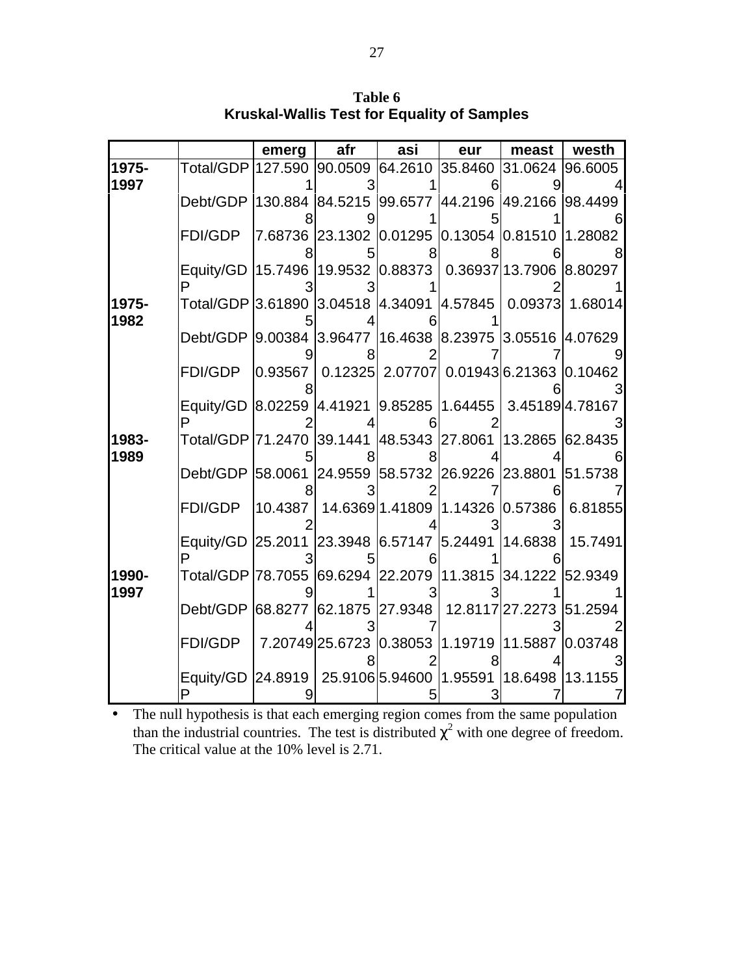**Table 6 Kruskal-Wallis Test for Equality of Samples**

|               |                                                                 | emerg | afr | asi                                           | eur     | meast                                                                                            | westh           |
|---------------|-----------------------------------------------------------------|-------|-----|-----------------------------------------------|---------|--------------------------------------------------------------------------------------------------|-----------------|
| 1975-         | Total/GDP 127.590 90.0509 64.2610                               |       |     |                                               | 35.8460 | 31.0624                                                                                          | 96.6005         |
| 1997          |                                                                 |       |     |                                               |         |                                                                                                  |                 |
|               | Debt/GDP 130.884 84.5215 99.6577 44.2196 49.2166 98.4499        |       |     |                                               |         |                                                                                                  |                 |
|               |                                                                 |       |     |                                               |         |                                                                                                  |                 |
|               | FDI/GDP                                                         |       |     |                                               |         | 7.68736 23.1302 0.01295 0.13054 0.81510 1.28082                                                  |                 |
|               |                                                                 |       |     |                                               |         |                                                                                                  |                 |
|               | Equity/GD 15.7496 19.9532 0.88373                               |       |     |                                               |         | 0.36937 13.7906 8.80297                                                                          |                 |
|               |                                                                 |       |     |                                               |         |                                                                                                  |                 |
| 1975-<br>1982 | Total/GDP 3.61890 3.04518 4.34091 4.57845                       |       |     |                                               |         |                                                                                                  | 0.09373 1.68014 |
|               | Debt/GDP 9.00384 3.96477 16.4638 8.23975 3.05516 4.07629        |       |     |                                               |         |                                                                                                  |                 |
|               |                                                                 |       |     |                                               |         |                                                                                                  |                 |
|               | <b>FDI/GDP</b>                                                  |       |     |                                               |         | $\vert 0.93567 \mid 0.12325 \vert$ 2.07707 $\vert$ 0.01943 $\vert$ 6.21363 $\vert 0.10462 \vert$ |                 |
|               |                                                                 |       |     |                                               |         |                                                                                                  |                 |
|               | Equity/GD 8.02259 4.41921 9.85285 1.64455                       |       |     |                                               |         |                                                                                                  | 3.451894.78167  |
|               |                                                                 |       |     |                                               |         |                                                                                                  |                 |
| 1983-         | Total/GDP  71.2470  39.1441  48.5343  27.8061  13.2865  62.8435 |       |     |                                               |         |                                                                                                  |                 |
| 1989          |                                                                 |       |     |                                               |         |                                                                                                  |                 |
|               | Debt/GDP 58.0061 24.9559 58.5732 26.9226 23.8801 51.5738        |       |     |                                               |         |                                                                                                  |                 |
|               |                                                                 |       |     |                                               |         |                                                                                                  |                 |
|               | FDI/GDP                                                         |       |     | 10.4387   14.6369 1.41809   1.14326   0.57386 |         |                                                                                                  | 6.81855         |
|               |                                                                 |       |     |                                               |         |                                                                                                  |                 |
|               | Equity/GD 25.2011 23.3948 6.57147 5.24491                       |       |     |                                               |         | 14.6838                                                                                          | 15.7491         |
| 1990-         | Total/GDP 78.7055 69.6294 22.2079 11.3815 34.1222 52.9349       |       |     |                                               |         |                                                                                                  |                 |
| 1997          |                                                                 |       |     |                                               |         |                                                                                                  |                 |
|               | Debt/GDP 68.8277 62.1875 27.9348 12.8117 27.2273 51.2594        |       |     |                                               |         |                                                                                                  |                 |
|               |                                                                 |       |     |                                               |         |                                                                                                  |                 |
|               | FDI/GDP                                                         |       |     |                                               |         | 7.20749 25.6723 0.38053 1.19719 11.5887 0.03748                                                  |                 |
|               |                                                                 |       |     |                                               |         |                                                                                                  |                 |
|               | Equity/GD 24.8919 25.9106 5.94600 1.95591 18.6498 13.1155       |       |     |                                               |         |                                                                                                  |                 |
|               |                                                                 |       |     |                                               |         |                                                                                                  |                 |

• The null hypothesis is that each emerging region comes from the same population than the industrial countries. The test is distributed  $\chi^2$  with one degree of freedom. The critical value at the 10% level is 2.71.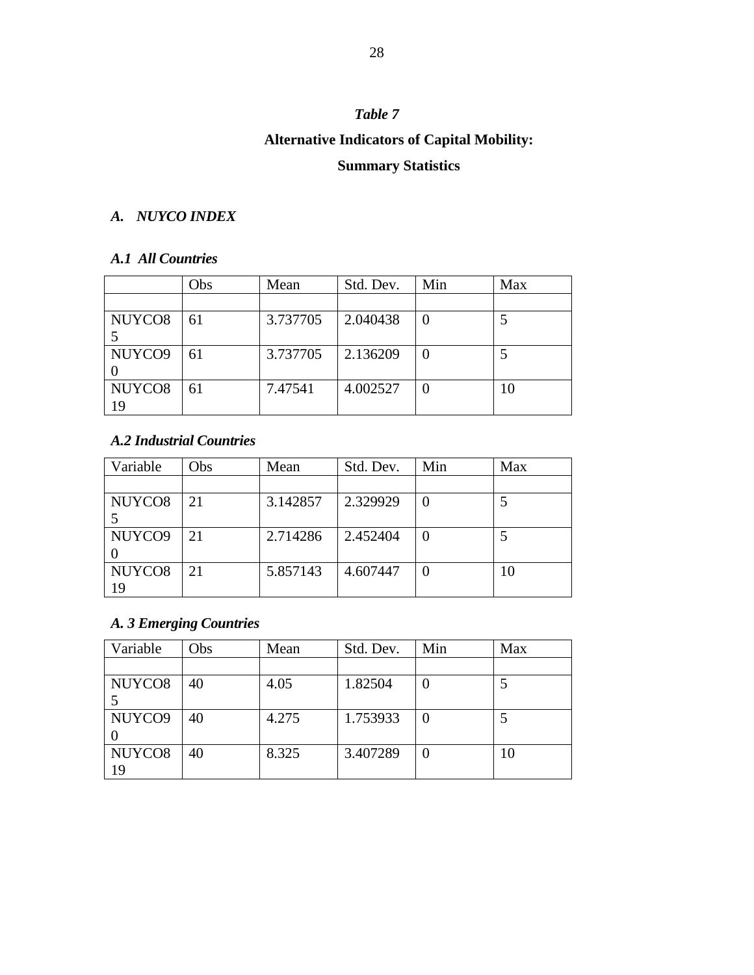# **Alternative Indicators of Capital Mobility:**

# **Summary Statistics**

### *A. NUYCO INDEX*

### *A.1 All Countries*

|                    | Obs | Mean     | Std. Dev. | Min | Max |
|--------------------|-----|----------|-----------|-----|-----|
|                    |     |          |           |     |     |
| NUYCO <sub>8</sub> | 61  | 3.737705 | 2.040438  |     |     |
|                    |     |          |           |     |     |
| NUYCO9             | 61  | 3.737705 | 2.136209  |     |     |
|                    |     |          |           |     |     |
| NUYCO <sub>8</sub> | 61  | 7.47541  | 4.002527  |     | 10  |
| 19                 |     |          |           |     |     |

### *A.2 Industrial Countries*

| Variable           | Obs | Mean     | Std. Dev. | Min | Max |
|--------------------|-----|----------|-----------|-----|-----|
|                    |     |          |           |     |     |
| NUYCO <sub>8</sub> | 21  | 3.142857 | 2.329929  |     |     |
|                    |     |          |           |     |     |
| NUYCO <sub>9</sub> | 21  | 2.714286 | 2.452404  |     |     |
|                    |     |          |           |     |     |
| NUYCO <sub>8</sub> | 21  | 5.857143 | 4.607447  |     |     |
| 19                 |     |          |           |     |     |

### *A. 3 Emerging Countries*

| Variable           | Obs | Mean  | Std. Dev. | Min      | Max |
|--------------------|-----|-------|-----------|----------|-----|
|                    |     |       |           |          |     |
| NUYCO <sub>8</sub> | 40  | 4.05  | 1.82504   | $\theta$ |     |
|                    |     |       |           |          |     |
| NUYCO9             | 40  | 4.275 | 1.753933  |          |     |
|                    |     |       |           |          |     |
| NUYCO <sub>8</sub> | 40  | 8.325 | 3.407289  | O        | 10  |
| 19                 |     |       |           |          |     |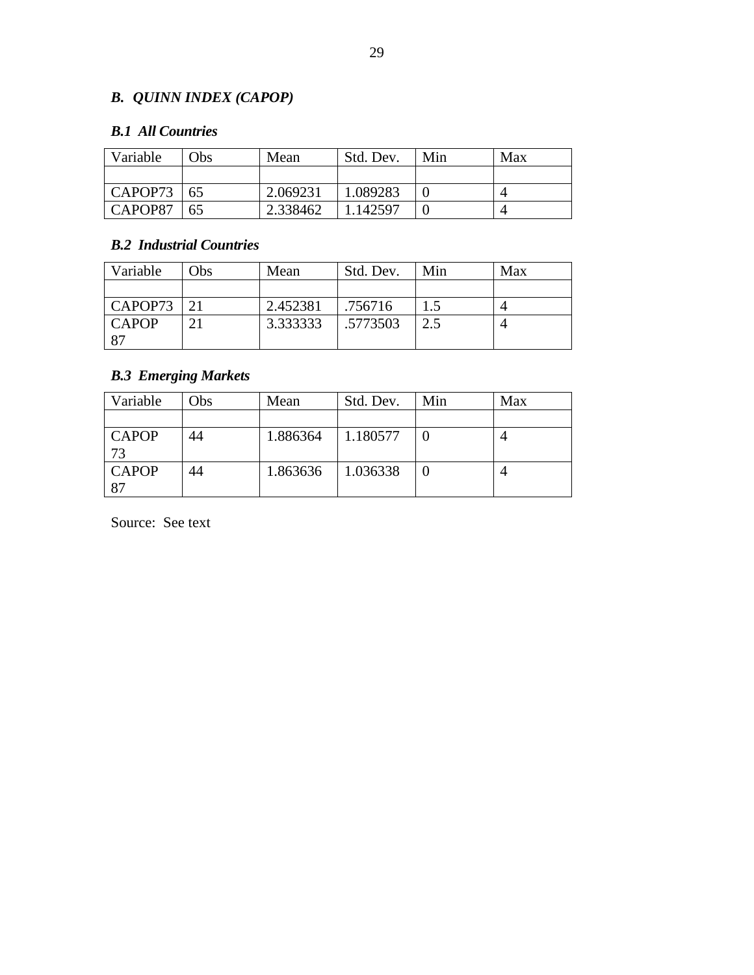# *B. QUINN INDEX (CAPOP)*

### *B.1 All Countries*

| Variable | Obs | Mean     | Std. Dev. | Min | Max |
|----------|-----|----------|-----------|-----|-----|
|          |     |          |           |     |     |
| CAPOP73  | 165 | 2.069231 | 1.089283  |     |     |
| CAPOP87  | 65  | 2.338462 | 1.142597  |     |     |

### *B.2 Industrial Countries*

| Variable     | Obs             | Mean     | Std. Dev. | Min | Max |
|--------------|-----------------|----------|-----------|-----|-----|
|              |                 |          |           |     |     |
| CAPOP73      | $\mathcal{D}$ 1 | 2.452381 | .756716   |     |     |
| <b>CAPOP</b> | ↑               | 3.333333 | .5773503  | 2.5 |     |
| 87           |                 |          |           |     |     |

### *B.3 Emerging Markets*

| Variable           | Obs | Mean     | Std. Dev. | Min | Max |
|--------------------|-----|----------|-----------|-----|-----|
|                    |     |          |           |     |     |
| <b>CAPOP</b><br>73 | 44  | 1.886364 | 1.180577  |     |     |
| <b>CAPOP</b><br>87 | 44  | 1.863636 | 1.036338  |     |     |

Source: See text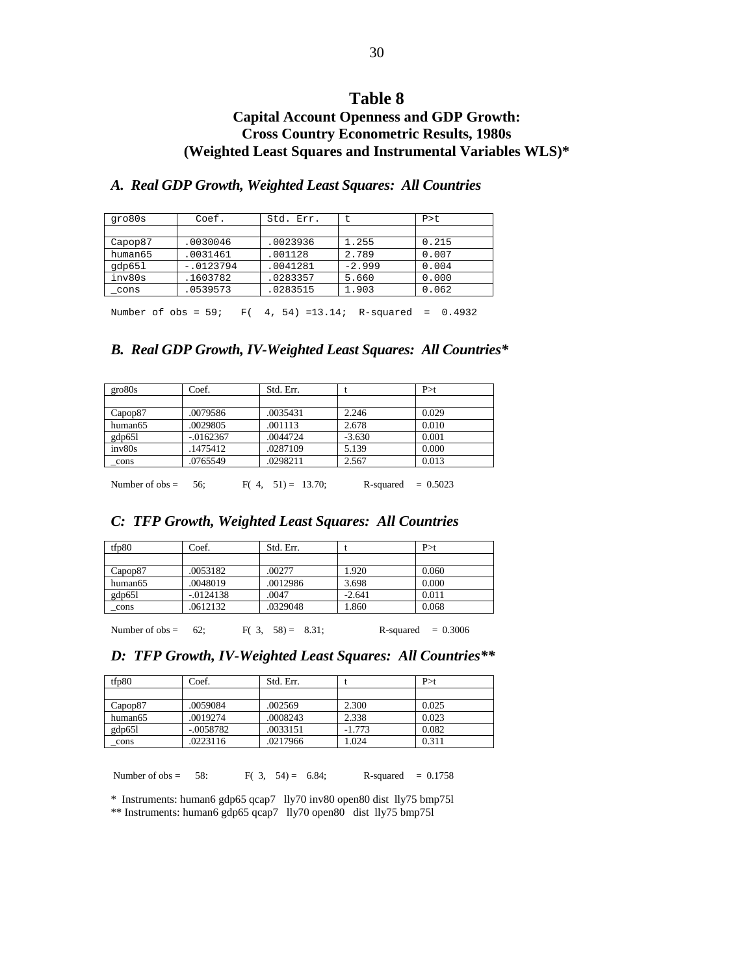### **Capital Account Openness and GDP Growth: Cross Country Econometric Results, 1980s (Weighted Least Squares and Instrumental Variables WLS)\***

### *A. Real GDP Growth, Weighted Least Squares: All Countries*

| gro80s  | Coef.      | Std. Err. |          | $P > t$ . |
|---------|------------|-----------|----------|-----------|
|         |            |           |          |           |
| Capop87 | .0030046   | .0023936  | 1.255    | 0.215     |
| human65 | .0031461   | .001128   | 2.789    | 0.007     |
| qdp651  | $-0123794$ | .0041281  | $-2.999$ | 0.004     |
| inv80s  | .1603782   | .0283357  | 5.660    | 0.000     |
| cons    | .0539573   | .0283515  | 1.903    | 0.062     |
|         |            |           |          |           |

Number of obs = 59; F( 4, 54) =13.14; R-squared = 0.4932

#### *B. Real GDP Growth, IV-Weighted Least Squares: All Countries\**

| $g$ ro $80s$        | Coef.        | Std. Err. |          | P > t |
|---------------------|--------------|-----------|----------|-------|
|                     |              |           |          |       |
| Capop87             | .0079586     | .0035431  | 2.246    | 0.029 |
| human <sub>65</sub> | .0029805     | .001113   | 2.678    | 0.010 |
| gdp651              | $-0.0162367$ | .0044724  | $-3.630$ | 0.001 |
| inv80s              | .1475412     | .0287109  | 5.139    | 0.000 |
| cons                | .0765549     | .0298211  | 2.567    | 0.013 |
|                     |              |           |          |       |

Number of obs = 56; F( 4, 51) = 13.70; R-squared =  $0.5023$ 

### *C: TFP Growth, Weighted Least Squares: All Countries*

| tfp80               | Coef.        | Std. Err. |          | P > t |
|---------------------|--------------|-----------|----------|-------|
|                     |              |           |          |       |
| Capop87             | .0053182     | .00277    | 1.920    | 0.060 |
| human <sub>65</sub> | .0048019     | .0012986  | 3.698    | 0.000 |
| gdp651              | $-0.0124138$ | .0047     | $-2.641$ | 0.011 |
| cons                | .0612132     | .0329048  | .860     | 0.068 |

Number of obs =  $62$ ; F( 3, 58) = 8.31; R-squared = 0.3006

|  |  |  |  |  | D: TFP Growth, IV-Weighted Least Squares: All Countries** |
|--|--|--|--|--|-----------------------------------------------------------|
|--|--|--|--|--|-----------------------------------------------------------|

| tfp80               | Coef.       | Std. Err. |          | P > t |
|---------------------|-------------|-----------|----------|-------|
|                     |             |           |          |       |
| Capop87             | .0059084    | .002569   | 2.300    | 0.025 |
| human <sub>65</sub> | .0019274    | .0008243  | 2.338    | 0.023 |
| gdp651              | $-.0058782$ | .0033151  | $-1.773$ | 0.082 |
| cons                | .0223116    | .0217966  | 1.024    | 0.311 |

Number of obs = 58: F( 3, 54) = 6.84; R-squared =  $0.1758$ 

\* Instruments: human6 gdp65 qcap7 lly70 inv80 open80 dist lly75 bmp75l \*\* Instruments: human6 gdp65 qcap7 lly70 open80 dist lly75 bmp75l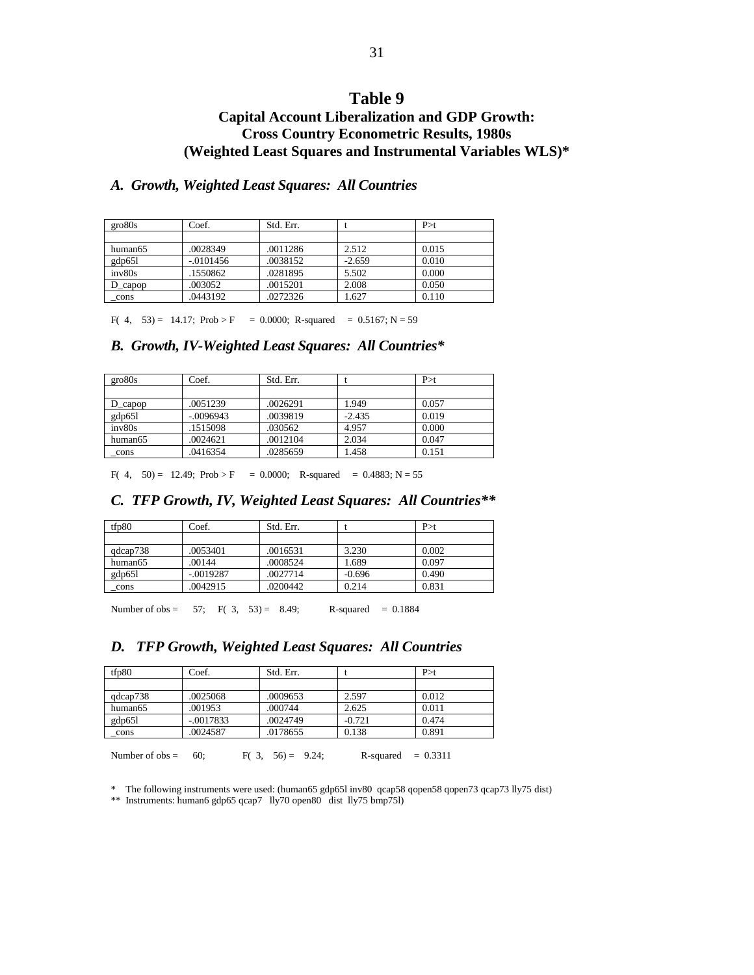### **Capital Account Liberalization and GDP Growth: Cross Country Econometric Results, 1980s (Weighted Least Squares and Instrumental Variables WLS)\***

#### *A. Growth, Weighted Least Squares: All Countries*

| gro80s               | Coef.        | Std. Err. |          | P > t |
|----------------------|--------------|-----------|----------|-------|
|                      |              |           |          |       |
| human65              | .0028349     | .0011286  | 2.512    | 0.015 |
| gdp651               | $-0.0101456$ | .0038152  | $-2.659$ | 0.010 |
| inv80s               | 1550862      | .0281895  | 5.502    | 0.000 |
| $D_{\text{\_capop}}$ | .003052      | .0015201  | 2.008    | 0.050 |
| cons                 | .0443192     | .0272326  | 1.627    | 0.110 |

F( 4, 53) = 14.17; Prob > F = 0.0000; R-squared = 0.5167; N = 59

#### *B. Growth, IV-Weighted Least Squares: All Countries\**

| ero80s  | Coef.       | Std. Err. |          | P > t |
|---------|-------------|-----------|----------|-------|
|         |             |           |          |       |
| D capop | .0051239    | .0026291  | 1.949    | 0.057 |
| gdp65l  | $-.0096943$ | .0039819  | $-2.435$ | 0.019 |
| inv80s  | .1515098    | .030562   | 4.957    | 0.000 |
| human65 | .0024621    | .0012104  | 2.034    | 0.047 |
| cons    | .0416354    | .0285659  | 1.458    | 0.151 |

F( 4, 50) = 12.49; Prob > F = 0.0000; R-squared = 0.4883; N = 55

#### *C. TFP Growth, IV, Weighted Least Squares: All Countries\*\**

| tfp80    | Coef.       | Std. Err. |          | P > t |
|----------|-------------|-----------|----------|-------|
|          |             |           |          |       |
| qdcap738 | .0053401    | .0016531  | 3.230    | 0.002 |
| human65  | .00144      | .0008524  | 1.689    | 0.097 |
| gdp651   | $-.0019287$ | .0027714  | $-0.696$ | 0.490 |
| cons     | .0042915    | .0200442  | 0.214    | 0.831 |

Number of obs = 57; F( 3, 53) = 8.49; R-squared = 0.1884

#### *D. TFP Growth, Weighted Least Squares: All Countries*

| tfp80    | Coef.       | Std. Err. |          | P > t |  |
|----------|-------------|-----------|----------|-------|--|
|          |             |           |          |       |  |
| qdcap738 | .0025068    | .0009653  | 2.597    | 0.012 |  |
| human65  | .001953     | .000744   | 2.625    | 0.011 |  |
| gdp65l   | $-.0017833$ | .0024749  | $-0.721$ | 0.474 |  |
| cons     | .0024587    | .0178655  | 0.138    | 0.891 |  |

Number of obs = 60; F( 3, 56) = 9.24; R-squared = 0.3311

\* The following instruments were used: (human65 gdp65l inv80 qcap58 qopen58 qopen73 qcap73 lly75 dist)

\*\* Instruments: human6 gdp65 qcap7 lly70 open80 dist lly75 bmp75l)